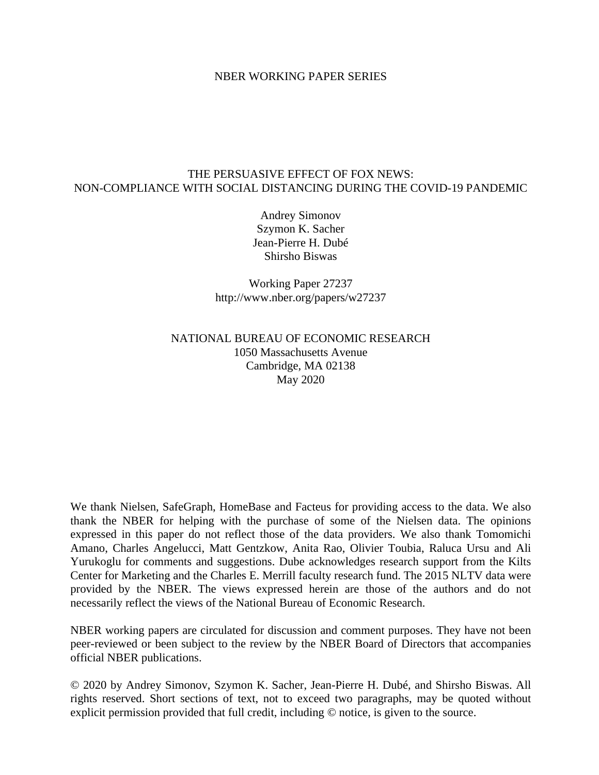#### NBER WORKING PAPER SERIES

#### THE PERSUASIVE EFFECT OF FOX NEWS: NON-COMPLIANCE WITH SOCIAL DISTANCING DURING THE COVID-19 PANDEMIC

Andrey Simonov Szymon K. Sacher Jean-Pierre H. Dubé Shirsho Biswas

Working Paper 27237 http://www.nber.org/papers/w27237

### NATIONAL BUREAU OF ECONOMIC RESEARCH 1050 Massachusetts Avenue Cambridge, MA 02138 May 2020

We thank Nielsen, SafeGraph, HomeBase and Facteus for providing access to the data. We also thank the NBER for helping with the purchase of some of the Nielsen data. The opinions expressed in this paper do not reflect those of the data providers. We also thank Tomomichi Amano, Charles Angelucci, Matt Gentzkow, Anita Rao, Olivier Toubia, Raluca Ursu and Ali Yurukoglu for comments and suggestions. Dube acknowledges research support from the Kilts Center for Marketing and the Charles E. Merrill faculty research fund. The 2015 NLTV data were provided by the NBER. The views expressed herein are those of the authors and do not necessarily reflect the views of the National Bureau of Economic Research.

NBER working papers are circulated for discussion and comment purposes. They have not been peer-reviewed or been subject to the review by the NBER Board of Directors that accompanies official NBER publications.

© 2020 by Andrey Simonov, Szymon K. Sacher, Jean-Pierre H. Dubé, and Shirsho Biswas. All rights reserved. Short sections of text, not to exceed two paragraphs, may be quoted without explicit permission provided that full credit, including © notice, is given to the source.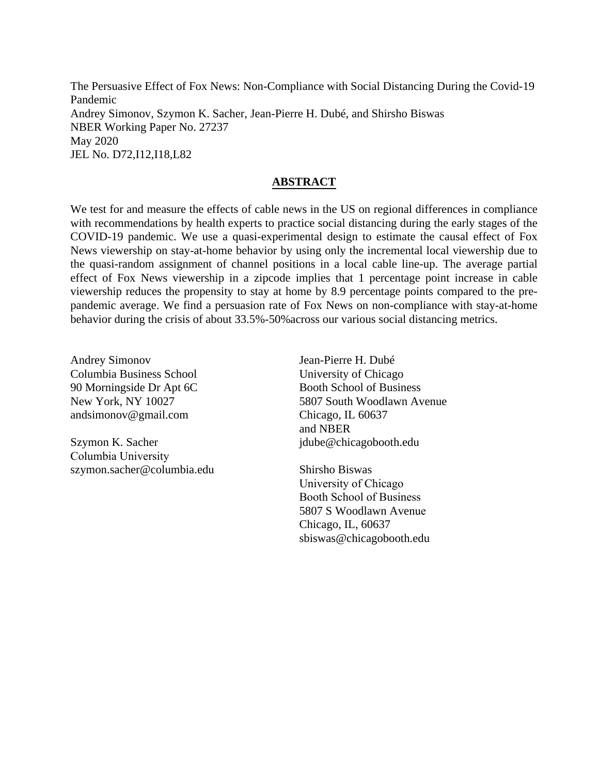The Persuasive Effect of Fox News: Non-Compliance with Social Distancing During the Covid-19 Pandemic Andrey Simonov, Szymon K. Sacher, Jean-Pierre H. Dubé, and Shirsho Biswas NBER Working Paper No. 27237 May 2020 JEL No. D72,I12,I18,L82

#### **ABSTRACT**

We test for and measure the effects of cable news in the US on regional differences in compliance with recommendations by health experts to practice social distancing during the early stages of the COVID-19 pandemic. We use a quasi-experimental design to estimate the causal effect of Fox News viewership on stay-at-home behavior by using only the incremental local viewership due to the quasi-random assignment of channel positions in a local cable line-up. The average partial effect of Fox News viewership in a zipcode implies that 1 percentage point increase in cable viewership reduces the propensity to stay at home by 8.9 percentage points compared to the prepandemic average. We find a persuasion rate of Fox News on non-compliance with stay-at-home behavior during the crisis of about 33.5%-50%across our various social distancing metrics.

Andrey Simonov Columbia Business School 90 Morningside Dr Apt 6C New York, NY 10027 andsimonov@gmail.com

Szymon K. Sacher Columbia University szymon.sacher@columbia.edu

Jean-Pierre H. Dubé University of Chicago Booth School of Business 5807 South Woodlawn Avenue Chicago, IL 60637 and NBER jdube@chicagobooth.edu

Shirsho Biswas University of Chicago Booth School of Business 5807 S Woodlawn Avenue Chicago, IL, 60637 sbiswas@chicagobooth.edu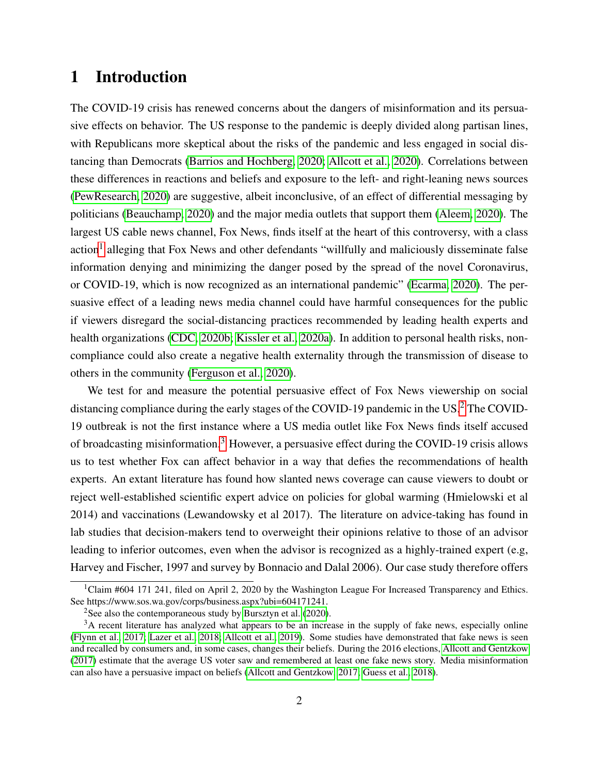# <span id="page-2-0"></span>1 Introduction

The COVID-19 crisis has renewed concerns about the dangers of misinformation and its persuasive effects on behavior. The US response to the pandemic is deeply divided along partisan lines, with Republicans more skeptical about the risks of the pandemic and less engaged in social distancing than Democrats [\(Barrios and Hochberg, 2020;](#page-27-0) [Allcott et al., 2020\)](#page-27-1). Correlations between these differences in reactions and beliefs and exposure to the left- and right-leaning news sources [\(PewResearch, 2020\)](#page-32-0) are suggestive, albeit inconclusive, of an effect of differential messaging by politicians [\(Beauchamp, 2020\)](#page-27-2) and the major media outlets that support them [\(Aleem, 2020\)](#page-27-3). The largest US cable news channel, Fox News, finds itself at the heart of this controversy, with a class action<sup>[1](#page--1-0)</sup> alleging that Fox News and other defendants "willfully and maliciously disseminate false information denying and minimizing the danger posed by the spread of the novel Coronavirus, or COVID-19, which is now recognized as an international pandemic" [\(Ecarma, 2020\)](#page-29-0). The persuasive effect of a leading news media channel could have harmful consequences for the public if viewers disregard the social-distancing practices recommended by leading health experts and health organizations [\(CDC, 2020b;](#page-28-0) [Kissler et al., 2020a\)](#page-30-0). In addition to personal health risks, noncompliance could also create a negative health externality through the transmission of disease to others in the community [\(Ferguson et al., 2020\)](#page-29-1).

We test for and measure the potential persuasive effect of Fox News viewership on social distancing compliance during the early stages of the COVID-19 pandemic in the US.<sup>[2](#page--1-0)</sup> The COVID-19 outbreak is not the first instance where a US media outlet like Fox News finds itself accused of broadcasting misinformation.[3](#page--1-0) However, a persuasive effect during the COVID-19 crisis allows us to test whether Fox can affect behavior in a way that defies the recommendations of health experts. An extant literature has found how slanted news coverage can cause viewers to doubt or reject well-established scientific expert advice on policies for global warming (Hmielowski et al 2014) and vaccinations (Lewandowsky et al 2017). The literature on advice-taking has found in lab studies that decision-makers tend to overweight their opinions relative to those of an advisor leading to inferior outcomes, even when the advisor is recognized as a highly-trained expert (e.g, Harvey and Fischer, 1997 and survey by Bonnacio and Dalal 2006). Our case study therefore offers

<sup>&</sup>lt;sup>1</sup>Claim #604 171 241, filed on April 2, 2020 by the Washington League For Increased Transparency and Ethics. See https://www.sos.wa.gov/corps/business.aspx?ubi=604171241.

<sup>&</sup>lt;sup>2</sup>See also the contemporaneous study by [Bursztyn et al.](#page-28-1)  $(2020)$ .

<sup>&</sup>lt;sup>3</sup>A recent literature has analyzed what appears to be an increase in the supply of fake news, especially online [\(Flynn et al., 2017;](#page-29-2) [Lazer et al., 2018;](#page-31-0) [Allcott et al., 2019\)](#page-27-4). Some studies have demonstrated that fake news is seen and recalled by consumers and, in some cases, changes their beliefs. During the 2016 elections, [Allcott and Gentzkow](#page-27-5) [\(2017\)](#page-27-5) estimate that the average US voter saw and remembered at least one fake news story. Media misinformation can also have a persuasive impact on beliefs [\(Allcott and Gentzkow, 2017;](#page-27-5) [Guess et al., 2018\)](#page-30-1).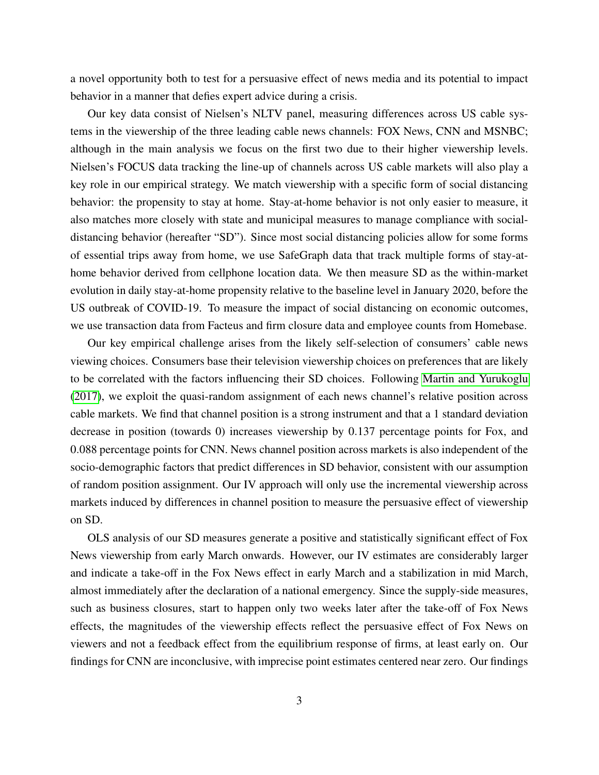a novel opportunity both to test for a persuasive effect of news media and its potential to impact behavior in a manner that defies expert advice during a crisis.

Our key data consist of Nielsen's NLTV panel, measuring differences across US cable systems in the viewership of the three leading cable news channels: FOX News, CNN and MSNBC; although in the main analysis we focus on the first two due to their higher viewership levels. Nielsen's FOCUS data tracking the line-up of channels across US cable markets will also play a key role in our empirical strategy. We match viewership with a specific form of social distancing behavior: the propensity to stay at home. Stay-at-home behavior is not only easier to measure, it also matches more closely with state and municipal measures to manage compliance with socialdistancing behavior (hereafter "SD"). Since most social distancing policies allow for some forms of essential trips away from home, we use SafeGraph data that track multiple forms of stay-athome behavior derived from cellphone location data. We then measure SD as the within-market evolution in daily stay-at-home propensity relative to the baseline level in January 2020, before the US outbreak of COVID-19. To measure the impact of social distancing on economic outcomes, we use transaction data from Facteus and firm closure data and employee counts from Homebase.

Our key empirical challenge arises from the likely self-selection of consumers' cable news viewing choices. Consumers base their television viewership choices on preferences that are likely to be correlated with the factors influencing their SD choices. Following [Martin and Yurukoglu](#page-31-1) [\(2017\)](#page-31-1), we exploit the quasi-random assignment of each news channel's relative position across cable markets. We find that channel position is a strong instrument and that a 1 standard deviation decrease in position (towards 0) increases viewership by 0.137 percentage points for Fox, and 0.088 percentage points for CNN. News channel position across markets is also independent of the socio-demographic factors that predict differences in SD behavior, consistent with our assumption of random position assignment. Our IV approach will only use the incremental viewership across markets induced by differences in channel position to measure the persuasive effect of viewership on SD.

OLS analysis of our SD measures generate a positive and statistically significant effect of Fox News viewership from early March onwards. However, our IV estimates are considerably larger and indicate a take-off in the Fox News effect in early March and a stabilization in mid March, almost immediately after the declaration of a national emergency. Since the supply-side measures, such as business closures, start to happen only two weeks later after the take-off of Fox News effects, the magnitudes of the viewership effects reflect the persuasive effect of Fox News on viewers and not a feedback effect from the equilibrium response of firms, at least early on. Our findings for CNN are inconclusive, with imprecise point estimates centered near zero. Our findings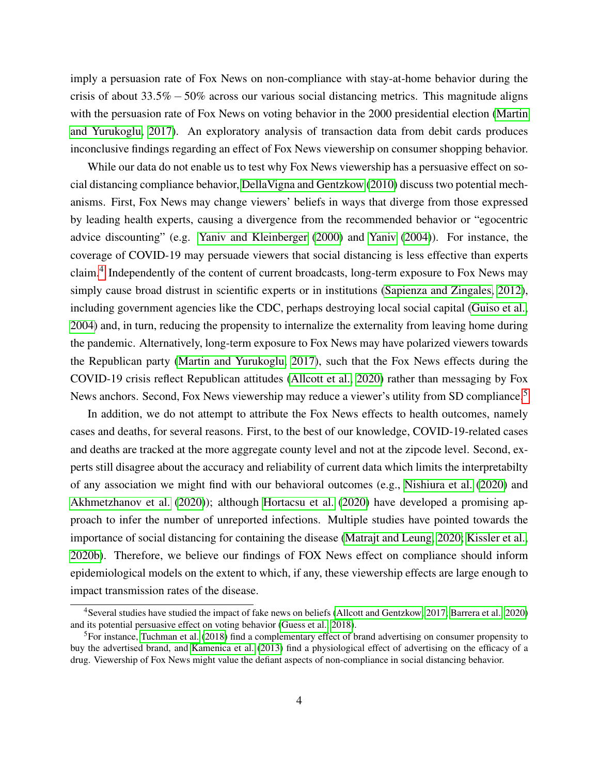imply a persuasion rate of Fox News on non-compliance with stay-at-home behavior during the crisis of about 33.5% −50% across our various social distancing metrics. This magnitude aligns with the persuasion rate of Fox News on voting behavior in the 2000 presidential election [\(Martin](#page-31-1) [and Yurukoglu, 2017\)](#page-31-1). An exploratory analysis of transaction data from debit cards produces inconclusive findings regarding an effect of Fox News viewership on consumer shopping behavior.

While our data do not enable us to test why Fox News viewership has a persuasive effect on social distancing compliance behavior, [DellaVigna and Gentzkow](#page-29-3) [\(2010\)](#page-29-3) discuss two potential mechanisms. First, Fox News may change viewers' beliefs in ways that diverge from those expressed by leading health experts, causing a divergence from the recommended behavior or "egocentric advice discounting" (e.g. [Yaniv and Kleinberger](#page-34-0) [\(2000\)](#page-34-0) and [Yaniv](#page-34-1) [\(2004\)](#page-34-1)). For instance, the coverage of COVID-19 may persuade viewers that social distancing is less effective than experts claim.<sup>[4](#page--1-0)</sup> Independently of the content of current broadcasts, long-term exposure to Fox News may simply cause broad distrust in scientific experts or in institutions [\(Sapienza and Zingales, 2012\)](#page-32-1), including government agencies like the CDC, perhaps destroying local social capital [\(Guiso et al.,](#page-30-2) [2004\)](#page-30-2) and, in turn, reducing the propensity to internalize the externality from leaving home during the pandemic. Alternatively, long-term exposure to Fox News may have polarized viewers towards the Republican party [\(Martin and Yurukoglu, 2017\)](#page-31-1), such that the Fox News effects during the COVID-19 crisis reflect Republican attitudes [\(Allcott et al., 2020\)](#page-27-1) rather than messaging by Fox News anchors. Second, Fox News viewership may reduce a viewer's utility from SD compliance.<sup>[5](#page--1-0)</sup>

In addition, we do not attempt to attribute the Fox News effects to health outcomes, namely cases and deaths, for several reasons. First, to the best of our knowledge, COVID-19-related cases and deaths are tracked at the more aggregate county level and not at the zipcode level. Second, experts still disagree about the accuracy and reliability of current data which limits the interpretabilty of any association we might find with our behavioral outcomes (e.g., [Nishiura et al.](#page-31-2) [\(2020\)](#page-31-2) and [Akhmetzhanov et al.](#page-27-6) [\(2020\)](#page-27-6)); although [Hortacsu et al.](#page-30-3) [\(2020\)](#page-30-3) have developed a promising approach to infer the number of unreported infections. Multiple studies have pointed towards the importance of social distancing for containing the disease [\(Matrajt and Leung, 2020;](#page-31-3) [Kissler et al.,](#page-30-4) [2020b\)](#page-30-4). Therefore, we believe our findings of FOX News effect on compliance should inform epidemiological models on the extent to which, if any, these viewership effects are large enough to impact transmission rates of the disease.

<sup>4</sup>Several studies have studied the impact of fake news on beliefs [\(Allcott and Gentzkow, 2017;](#page-27-5) [Barrera et al., 2020\)](#page-27-7) and its potential persuasive effect on voting behavior [\(Guess et al., 2018\)](#page-30-1).

<sup>5</sup>For instance, [Tuchman et al.](#page-33-0) [\(2018\)](#page-33-0) find a complementary effect of brand advertising on consumer propensity to buy the advertised brand, and [Kamenica et al.](#page-30-5) [\(2013\)](#page-30-5) find a physiological effect of advertising on the efficacy of a drug. Viewership of Fox News might value the defiant aspects of non-compliance in social distancing behavior.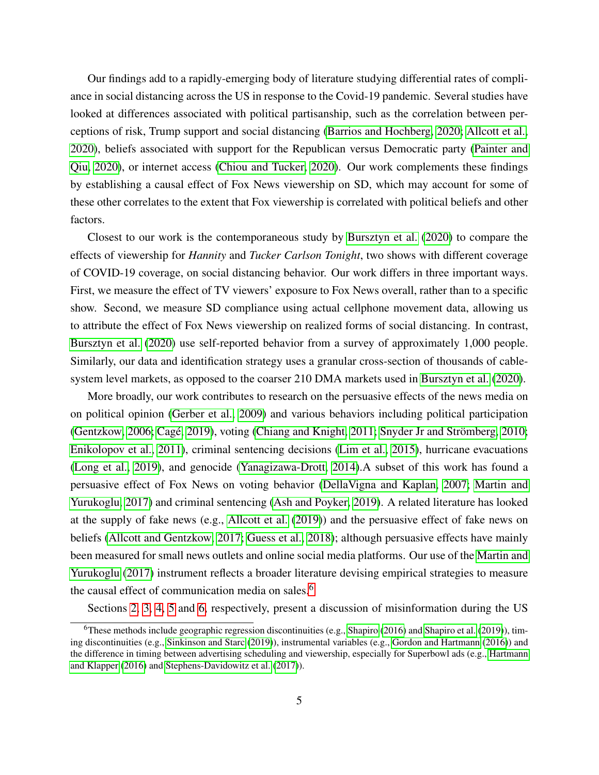Our findings add to a rapidly-emerging body of literature studying differential rates of compliance in social distancing across the US in response to the Covid-19 pandemic. Several studies have looked at differences associated with political partisanship, such as the correlation between perceptions of risk, Trump support and social distancing [\(Barrios and Hochberg, 2020;](#page-27-0) [Allcott et al.,](#page-27-1) [2020\)](#page-27-1), beliefs associated with support for the Republican versus Democratic party [\(Painter and](#page-32-2) [Qiu, 2020\)](#page-32-2), or internet access [\(Chiou and Tucker, 2020\)](#page-28-2). Our work complements these findings by establishing a causal effect of Fox News viewership on SD, which may account for some of these other correlates to the extent that Fox viewership is correlated with political beliefs and other factors.

Closest to our work is the contemporaneous study by [Bursztyn et al.](#page-28-1) [\(2020\)](#page-28-1) to compare the effects of viewership for *Hannity* and *Tucker Carlson Tonight*, two shows with different coverage of COVID-19 coverage, on social distancing behavior. Our work differs in three important ways. First, we measure the effect of TV viewers' exposure to Fox News overall, rather than to a specific show. Second, we measure SD compliance using actual cellphone movement data, allowing us to attribute the effect of Fox News viewership on realized forms of social distancing. In contrast, [Bursztyn et al.](#page-28-1) [\(2020\)](#page-28-1) use self-reported behavior from a survey of approximately 1,000 people. Similarly, our data and identification strategy uses a granular cross-section of thousands of cablesystem level markets, as opposed to the coarser 210 DMA markets used in [Bursztyn et al.](#page-28-1) [\(2020\)](#page-28-1).

More broadly, our work contributes to research on the persuasive effects of the news media on on political opinion [\(Gerber et al., 2009\)](#page-29-4) and various behaviors including political participation [\(Gentzkow, 2006;](#page-29-5) Cagé, 2019), voting [\(Chiang and Knight, 2011;](#page-28-4) [Snyder Jr and Str](#page-32-3)ömberg, [2010;](#page-32-3) [Enikolopov et al., 2011\)](#page-29-6), criminal sentencing decisions [\(Lim et al., 2015\)](#page-31-4), hurricane evacuations [\(Long et al., 2019\)](#page-31-5), and genocide [\(Yanagizawa-Drott, 2014\)](#page-33-1).A subset of this work has found a persuasive effect of Fox News on voting behavior [\(DellaVigna and Kaplan, 2007;](#page-29-7) [Martin and](#page-31-1) [Yurukoglu, 2017\)](#page-31-1) and criminal sentencing [\(Ash and Poyker, 2019\)](#page-27-8). A related literature has looked at the supply of fake news (e.g., [Allcott et al.](#page-27-4) [\(2019\)](#page-27-4)) and the persuasive effect of fake news on beliefs [\(Allcott and Gentzkow, 2017;](#page-27-5) [Guess et al., 2018\)](#page-30-1); although persuasive effects have mainly been measured for small news outlets and online social media platforms. Our use of the [Martin and](#page-31-1) [Yurukoglu](#page-31-1) [\(2017\)](#page-31-1) instrument reflects a broader literature devising empirical strategies to measure the causal effect of communication media on sales.<sup>[6](#page--1-0)</sup>

Sections [2,](#page-6-0) [3,](#page-8-0) [4,](#page-10-0) [5](#page-15-0) and [6,](#page-25-0) respectively, present a discussion of misinformation during the US

<sup>&</sup>lt;sup>6</sup>These methods include geographic regression discontinuities (e.g., [Shapiro](#page-32-4) [\(2016\)](#page-32-4) and [Shapiro et al.](#page-32-5) [\(2019\)](#page-32-5)), timing discontinuities (e.g., [Sinkinson and Starc](#page-32-6) [\(2019\)](#page-32-6)), instrumental variables (e.g., [Gordon and Hartmann](#page-30-6) [\(2016\)](#page-30-6)) and the difference in timing between advertising scheduling and viewership, especially for Superbowl ads (e.g., [Hartmann](#page-30-7) [and Klapper](#page-30-7) [\(2016\)](#page-30-7) and [Stephens-Davidowitz et al.](#page-33-2) [\(2017\)](#page-33-2)).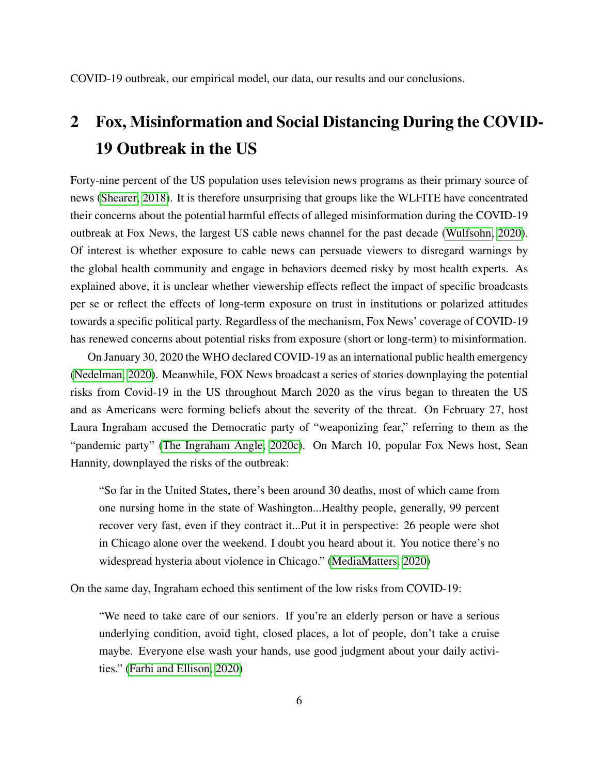COVID-19 outbreak, our empirical model, our data, our results and our conclusions.

# <span id="page-6-0"></span>2 Fox, Misinformation and Social Distancing During the COVID-19 Outbreak in the US

Forty-nine percent of the US population uses television news programs as their primary source of news [\(Shearer, 2018\)](#page-32-7). It is therefore unsurprising that groups like the WLFITE have concentrated their concerns about the potential harmful effects of alleged misinformation during the COVID-19 outbreak at Fox News, the largest US cable news channel for the past decade [\(Wulfsohn, 2020\)](#page-33-3). Of interest is whether exposure to cable news can persuade viewers to disregard warnings by the global health community and engage in behaviors deemed risky by most health experts. As explained above, it is unclear whether viewership effects reflect the impact of specific broadcasts per se or reflect the effects of long-term exposure on trust in institutions or polarized attitudes towards a specific political party. Regardless of the mechanism, Fox News' coverage of COVID-19 has renewed concerns about potential risks from exposure (short or long-term) to misinformation.

On January 30, 2020 the WHO declared COVID-19 as an international public health emergency [\(Nedelman, 2020\)](#page-31-6). Meanwhile, FOX News broadcast a series of stories downplaying the potential risks from Covid-19 in the US throughout March 2020 as the virus began to threaten the US and as Americans were forming beliefs about the severity of the threat. On February 27, host Laura Ingraham accused the Democratic party of "weaponizing fear," referring to them as the "pandemic party" [\(The Ingraham Angle, 2020c\)](#page-33-4). On March 10, popular Fox News host, Sean Hannity, downplayed the risks of the outbreak:

"So far in the United States, there's been around 30 deaths, most of which came from one nursing home in the state of Washington...Healthy people, generally, 99 percent recover very fast, even if they contract it...Put it in perspective: 26 people were shot in Chicago alone over the weekend. I doubt you heard about it. You notice there's no widespread hysteria about violence in Chicago." [\(MediaMatters, 2020\)](#page-31-7)

On the same day, Ingraham echoed this sentiment of the low risks from COVID-19:

"We need to take care of our seniors. If you're an elderly person or have a serious underlying condition, avoid tight, closed places, a lot of people, don't take a cruise maybe. Everyone else wash your hands, use good judgment about your daily activities." [\(Farhi and Ellison, 2020\)](#page-29-8)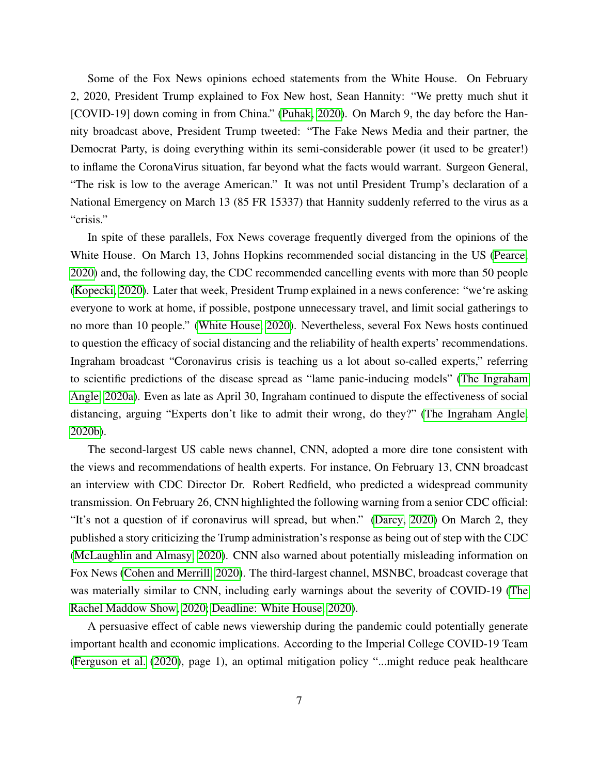Some of the Fox News opinions echoed statements from the White House. On February 2, 2020, President Trump explained to Fox New host, Sean Hannity: "We pretty much shut it [COVID-19] down coming in from China." [\(Puhak, 2020\)](#page-32-8). On March 9, the day before the Hannity broadcast above, President Trump tweeted: "The Fake News Media and their partner, the Democrat Party, is doing everything within its semi-considerable power (it used to be greater!) to inflame the CoronaVirus situation, far beyond what the facts would warrant. Surgeon General, "The risk is low to the average American." It was not until President Trump's declaration of a National Emergency on March 13 (85 FR 15337) that Hannity suddenly referred to the virus as a "crisis."

In spite of these parallels, Fox News coverage frequently diverged from the opinions of the White House. On March 13, Johns Hopkins recommended social distancing in the US [\(Pearce,](#page-32-9) [2020\)](#page-32-9) and, the following day, the CDC recommended cancelling events with more than 50 people [\(Kopecki, 2020\)](#page-30-8). Later that week, President Trump explained in a news conference: "we're asking everyone to work at home, if possible, postpone unnecessary travel, and limit social gatherings to no more than 10 people." [\(White House, 2020\)](#page-33-5). Nevertheless, several Fox News hosts continued to question the efficacy of social distancing and the reliability of health experts' recommendations. Ingraham broadcast "Coronavirus crisis is teaching us a lot about so-called experts," referring to scientific predictions of the disease spread as "lame panic-inducing models" [\(The Ingraham](#page-33-6) [Angle, 2020a\)](#page-33-6). Even as late as April 30, Ingraham continued to dispute the effectiveness of social distancing, arguing "Experts don't like to admit their wrong, do they?" [\(The Ingraham Angle,](#page-33-7) [2020b\)](#page-33-7).

The second-largest US cable news channel, CNN, adopted a more dire tone consistent with the views and recommendations of health experts. For instance, On February 13, CNN broadcast an interview with CDC Director Dr. Robert Redfield, who predicted a widespread community transmission. On February 26, CNN highlighted the following warning from a senior CDC official: "It's not a question of if coronavirus will spread, but when." [\(Darcy, 2020\)](#page-28-5) On March 2, they published a story criticizing the Trump administration's response as being out of step with the CDC [\(McLaughlin and Almasy, 2020\)](#page-31-8). CNN also warned about potentially misleading information on Fox News [\(Cohen and Merrill, 2020\)](#page-28-6). The third-largest channel, MSNBC, broadcast coverage that was materially similar to CNN, including early warnings about the severity of COVID-19 [\(The](#page-33-8) [Rachel Maddow Show, 2020;](#page-33-8) [Deadline: White House, 2020\)](#page-29-9).

A persuasive effect of cable news viewership during the pandemic could potentially generate important health and economic implications. According to the Imperial College COVID-19 Team [\(Ferguson et al.](#page-29-1) [\(2020\)](#page-29-1), page 1), an optimal mitigation policy "...might reduce peak healthcare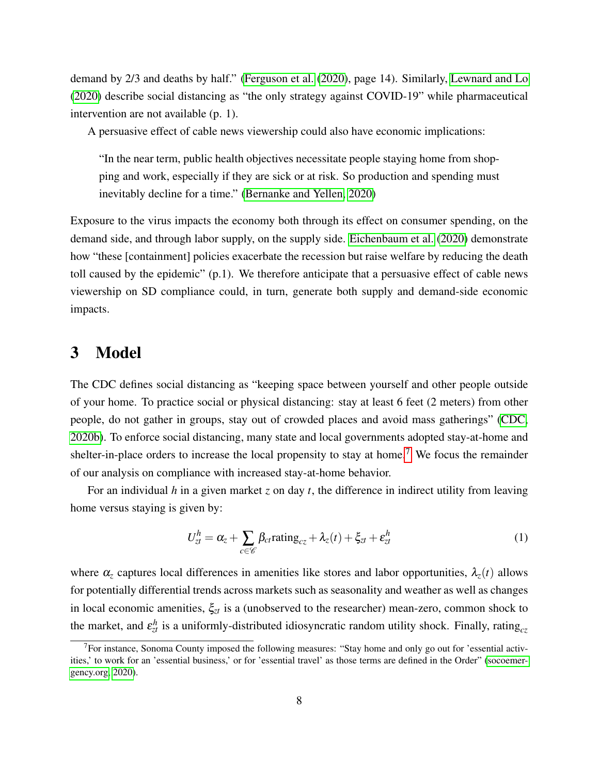demand by 2/3 and deaths by half." [\(Ferguson et al.](#page-29-1) [\(2020\)](#page-29-1), page 14). Similarly, [Lewnard and Lo](#page-31-9) [\(2020\)](#page-31-9) describe social distancing as "the only strategy against COVID-19" while pharmaceutical intervention are not available (p. 1).

A persuasive effect of cable news viewership could also have economic implications:

"In the near term, public health objectives necessitate people staying home from shopping and work, especially if they are sick or at risk. So production and spending must inevitably decline for a time." [\(Bernanke and Yellen, 2020\)](#page-28-7)

Exposure to the virus impacts the economy both through its effect on consumer spending, on the demand side, and through labor supply, on the supply side. [Eichenbaum et al.](#page-29-10) [\(2020\)](#page-29-10) demonstrate how "these [containment] policies exacerbate the recession but raise welfare by reducing the death toll caused by the epidemic" (p.1). We therefore anticipate that a persuasive effect of cable news viewership on SD compliance could, in turn, generate both supply and demand-side economic impacts.

# <span id="page-8-0"></span>3 Model

The CDC defines social distancing as "keeping space between yourself and other people outside of your home. To practice social or physical distancing: stay at least 6 feet (2 meters) from other people, do not gather in groups, stay out of crowded places and avoid mass gatherings" [\(CDC,](#page-28-0) [2020b\)](#page-28-0). To enforce social distancing, many state and local governments adopted stay-at-home and shelter-in-place orders to increase the local propensity to stay at home.<sup>[7](#page--1-0)</sup> We focus the remainder of our analysis on compliance with increased stay-at-home behavior.

For an individual *h* in a given market *z* on day *t*, the difference in indirect utility from leaving home versus staying is given by:

<span id="page-8-1"></span>
$$
U_{zt}^{h} = \alpha_{z} + \sum_{c \in \mathscr{C}} \beta_{ct} \text{rating}_{cz} + \lambda_{z}(t) + \xi_{zt} + \varepsilon_{zt}^{h}
$$
 (1)

where  $\alpha_z$  captures local differences in amenities like stores and labor opportunities,  $\lambda_z(t)$  allows for potentially differential trends across markets such as seasonality and weather as well as changes in local economic amenities, ξ*zt* is a (unobserved to the researcher) mean-zero, common shock to the market, and  $\varepsilon_{zt}^h$  is a uniformly-distributed idiosyncratic random utility shock. Finally, rating<sub>cz</sub>

<sup>&</sup>lt;sup>7</sup>For instance, Sonoma County imposed the following measures: "Stay home and only go out for 'essential activities,' to work for an 'essential business,' or for 'essential travel' as those terms are defined in the Order" [\(socoemer](#page-32-10)[gency.org, 2020\)](#page-32-10).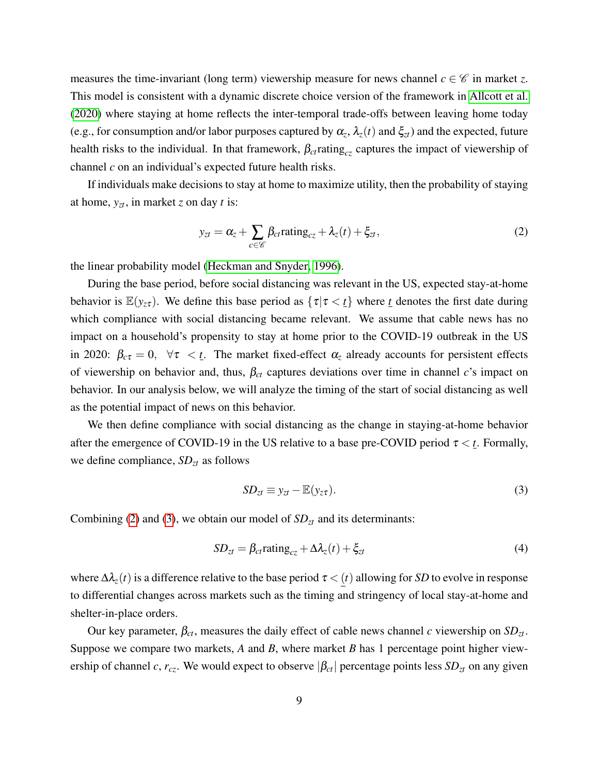measures the time-invariant (long term) viewership measure for news channel  $c \in \mathscr{C}$  in market *z*. This model is consistent with a dynamic discrete choice version of the framework in [Allcott et al.](#page-27-1) [\(2020\)](#page-27-1) where staying at home reflects the inter-temporal trade-offs between leaving home today (e.g., for consumption and/or labor purposes captured by  $\alpha_z$ ,  $\lambda_z(t)$  and  $\xi_{zt}$ ) and the expected, future health risks to the individual. In that framework,  $\beta_{ct}$  rating<sub>cz</sub> captures the impact of viewership of channel *c* on an individual's expected future health risks.

If individuals make decisions to stay at home to maximize utility, then the probability of staying at home,  $y_{zt}$ , in market *z* on day *t* is:

<span id="page-9-0"></span>
$$
y_{zt} = \alpha_z + \sum_{c \in \mathscr{C}} \beta_{ct} \text{rating}_{cz} + \lambda_z(t) + \xi_{zt},\tag{2}
$$

the linear probability model [\(Heckman and Snyder, 1996\)](#page-30-9).

During the base period, before social distancing was relevant in the US, expected stay-at-home behavior is  $\mathbb{E}(y_{z\tau})$ . We define this base period as  $\{\tau | \tau \langle t \rangle\}$  where *t* denotes the first date during which compliance with social distancing became relevant. We assume that cable news has no impact on a household's propensity to stay at home prior to the COVID-19 outbreak in the US in 2020:  $\beta_{c\tau} = 0$ ,  $\forall \tau \leq t$ . The market fixed-effect  $\alpha_{\tau}$  already accounts for persistent effects of viewership on behavior and, thus, β*ct* captures deviations over time in channel *c*'s impact on behavior. In our analysis below, we will analyze the timing of the start of social distancing as well as the potential impact of news on this behavior.

We then define compliance with social distancing as the change in staying-at-home behavior after the emergence of COVID-19 in the US relative to a base pre-COVID period  $\tau < t$ . Formally, we define compliance, *SDzt* as follows

<span id="page-9-1"></span>
$$
SD_{zt} \equiv y_{zt} - \mathbb{E}(y_{z\tau}). \tag{3}
$$

Combining [\(2\)](#page-9-0) and [\(3\)](#page-9-1), we obtain our model of  $SD<sub>zt</sub>$  and its determinants:

<span id="page-9-2"></span>
$$
SD_{zt} = \beta_{ct} \text{rating}_{cz} + \Delta \lambda_z(t) + \xi_{zt}
$$
\n(4)

where  $\Delta \lambda_z(t)$  is a difference relative to the base period  $\tau < (t)$  allowing for *SD* to evolve in response to differential changes across markets such as the timing and stringency of local stay-at-home and shelter-in-place orders.

Our key parameter, β*ct*, measures the daily effect of cable news channel *c* viewership on *SDzt*. Suppose we compare two markets, *A* and *B*, where market *B* has 1 percentage point higher viewership of channel *c*,  $r_{cz}$ . We would expect to observe  $|\beta_{ct}|$  percentage points less  $SD_{zt}$  on any given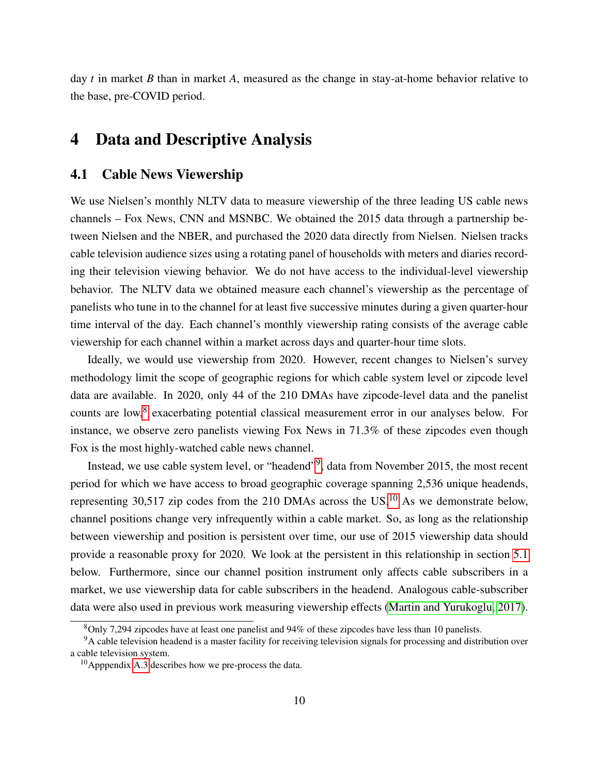day *t* in market *B* than in market *A*, measured as the change in stay-at-home behavior relative to the base, pre-COVID period.

# <span id="page-10-0"></span>4 Data and Descriptive Analysis

### <span id="page-10-1"></span>4.1 Cable News Viewership

We use Nielsen's monthly NLTV data to measure viewership of the three leading US cable news channels – Fox News, CNN and MSNBC. We obtained the 2015 data through a partnership between Nielsen and the NBER, and purchased the 2020 data directly from Nielsen. Nielsen tracks cable television audience sizes using a rotating panel of households with meters and diaries recording their television viewing behavior. We do not have access to the individual-level viewership behavior. The NLTV data we obtained measure each channel's viewership as the percentage of panelists who tune in to the channel for at least five successive minutes during a given quarter-hour time interval of the day. Each channel's monthly viewership rating consists of the average cable viewership for each channel within a market across days and quarter-hour time slots.

Ideally, we would use viewership from 2020. However, recent changes to Nielsen's survey methodology limit the scope of geographic regions for which cable system level or zipcode level data are available. In 2020, only 44 of the 210 DMAs have zipcode-level data and the panelist counts are low,<sup>[8](#page--1-0)</sup> exacerbating potential classical measurement error in our analyses below. For instance, we observe zero panelists viewing Fox News in 71.3% of these zipcodes even though Fox is the most highly-watched cable news channel.

Instead, we use cable system level, or "headend"<sup>[9](#page--1-0)</sup>, data from November 2015, the most recent period for which we have access to broad geographic coverage spanning 2,536 unique headends, representing 30,517 zip codes from the 2[10](#page--1-0) DMAs across the US.<sup>10</sup> As we demonstrate below, channel positions change very infrequently within a cable market. So, as long as the relationship between viewership and position is persistent over time, our use of 2015 viewership data should provide a reasonable proxy for 2020. We look at the persistent in this relationship in section [5.1](#page-15-1) below. Furthermore, since our channel position instrument only affects cable subscribers in a market, we use viewership data for cable subscribers in the headend. Analogous cable-subscriber data were also used in previous work measuring viewership effects [\(Martin and Yurukoglu, 2017\)](#page-31-1).

<sup>8</sup>Only 7,294 zipcodes have at least one panelist and 94% of these zipcodes have less than 10 panelists.

<sup>&</sup>lt;sup>9</sup>A cable television headend is a master facility for receiving television signals for processing and distribution over a cable television system.

 $10$ Apppendix [A.3](#page-45-0) describes how we pre-process the data.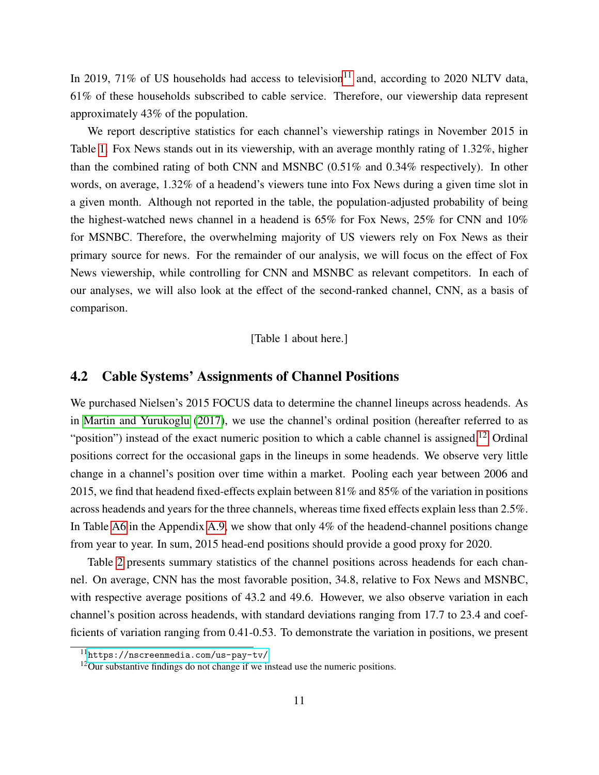In 2019, 71% of US households had access to television<sup>[11](#page--1-0)</sup> and, according to 2020 NLTV data, 61% of these households subscribed to cable service. Therefore, our viewership data represent approximately 43% of the population.

We report descriptive statistics for each channel's viewership ratings in November 2015 in Table [1.](#page-40-0) Fox News stands out in its viewership, with an average monthly rating of 1.32%, higher than the combined rating of both CNN and MSNBC (0.51% and 0.34% respectively). In other words, on average, 1.32% of a headend's viewers tune into Fox News during a given time slot in a given month. Although not reported in the table, the population-adjusted probability of being the highest-watched news channel in a headend is 65% for Fox News, 25% for CNN and 10% for MSNBC. Therefore, the overwhelming majority of US viewers rely on Fox News as their primary source for news. For the remainder of our analysis, we will focus on the effect of Fox News viewership, while controlling for CNN and MSNBC as relevant competitors. In each of our analyses, we will also look at the effect of the second-ranked channel, CNN, as a basis of comparison.

[Table 1 about here.]

### <span id="page-11-0"></span>4.2 Cable Systems' Assignments of Channel Positions

We purchased Nielsen's 2015 FOCUS data to determine the channel lineups across headends. As in [Martin and Yurukoglu](#page-31-1) [\(2017\)](#page-31-1), we use the channel's ordinal position (hereafter referred to as "position") instead of the exact numeric position to which a cable channel is assigned.<sup>[12](#page--1-0)</sup> Ordinal positions correct for the occasional gaps in the lineups in some headends. We observe very little change in a channel's position over time within a market. Pooling each year between 2006 and 2015, we find that headend fixed-effects explain between 81% and 85% of the variation in positions across headends and years for the three channels, whereas time fixed effects explain less than 2.5%. In Table [A6](#page-57-0) in the Appendix [A.9,](#page-46-0) we show that only 4% of the headend-channel positions change from year to year. In sum, 2015 head-end positions should provide a good proxy for 2020.

Table [2](#page-41-0) presents summary statistics of the channel positions across headends for each channel. On average, CNN has the most favorable position, 34.8, relative to Fox News and MSNBC, with respective average positions of 43.2 and 49.6. However, we also observe variation in each channel's position across headends, with standard deviations ranging from 17.7 to 23.4 and coefficients of variation ranging from 0.41-0.53. To demonstrate the variation in positions, we present

<sup>11</sup><https://nscreenmedia.com/us-pay-tv/>

 $12$ Our substantive findings do not change if we instead use the numeric positions.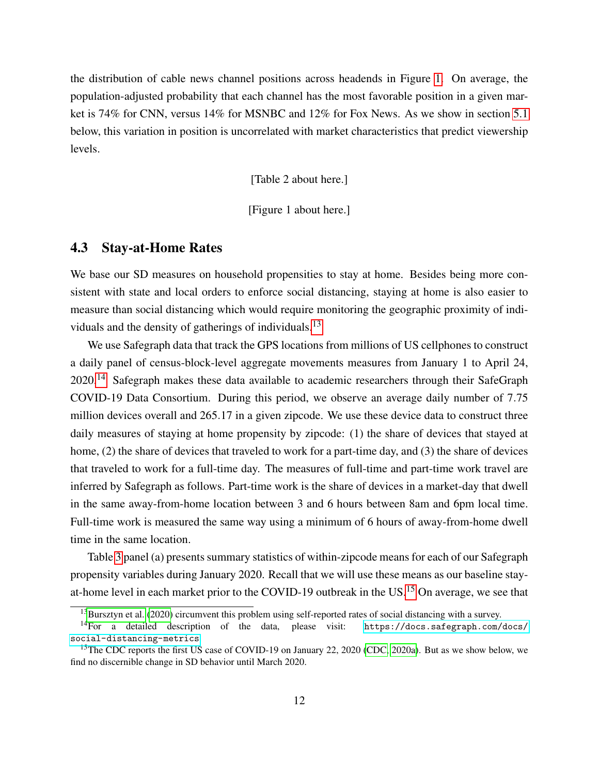the distribution of cable news channel positions across headends in Figure [1.](#page-35-0) On average, the population-adjusted probability that each channel has the most favorable position in a given market is 74% for CNN, versus 14% for MSNBC and 12% for Fox News. As we show in section [5.1](#page-15-1) below, this variation in position is uncorrelated with market characteristics that predict viewership levels.

[Table 2 about here.]

[Figure 1 about here.]

#### <span id="page-12-0"></span>4.3 Stay-at-Home Rates

We base our SD measures on household propensities to stay at home. Besides being more consistent with state and local orders to enforce social distancing, staying at home is also easier to measure than social distancing which would require monitoring the geographic proximity of indi-viduals and the density of gatherings of individuals.<sup>[13](#page--1-0)</sup>

We use Safegraph data that track the GPS locations from millions of US cellphones to construct a daily panel of census-block-level aggregate movements measures from January 1 to April 24,  $2020$ <sup>[14](#page--1-0)</sup> Safegraph makes these data available to academic researchers through their SafeGraph COVID-19 Data Consortium. During this period, we observe an average daily number of 7.75 million devices overall and 265.17 in a given zipcode. We use these device data to construct three daily measures of staying at home propensity by zipcode: (1) the share of devices that stayed at home, (2) the share of devices that traveled to work for a part-time day, and (3) the share of devices that traveled to work for a full-time day. The measures of full-time and part-time work travel are inferred by Safegraph as follows. Part-time work is the share of devices in a market-day that dwell in the same away-from-home location between 3 and 6 hours between 8am and 6pm local time. Full-time work is measured the same way using a minimum of 6 hours of away-from-home dwell time in the same location.

Table [3](#page-42-0) panel (a) presents summary statistics of within-zipcode means for each of our Safegraph propensity variables during January 2020. Recall that we will use these means as our baseline stay-at-home level in each market prior to the COVID-19 outbreak in the US.<sup>[15](#page--1-0)</sup> On average, we see that

<sup>&</sup>lt;sup>13</sup>[Bursztyn et al.](#page-28-1) [\(2020\)](#page-28-1) circumvent this problem using self-reported rates of social distancing with a survey.

<sup>&</sup>lt;sup>14</sup>For a detailed description of the data, please visit: [https://docs.safegraph.com/docs/](https://docs.safegraph.com/docs/social-distancing-metrics) [social-distancing-metrics](https://docs.safegraph.com/docs/social-distancing-metrics).

<sup>&</sup>lt;sup>15</sup>The CDC reports the first US case of COVID-19 on January 22, 2020 [\(CDC, 2020a\)](#page-28-8). But as we show below, we find no discernible change in SD behavior until March 2020.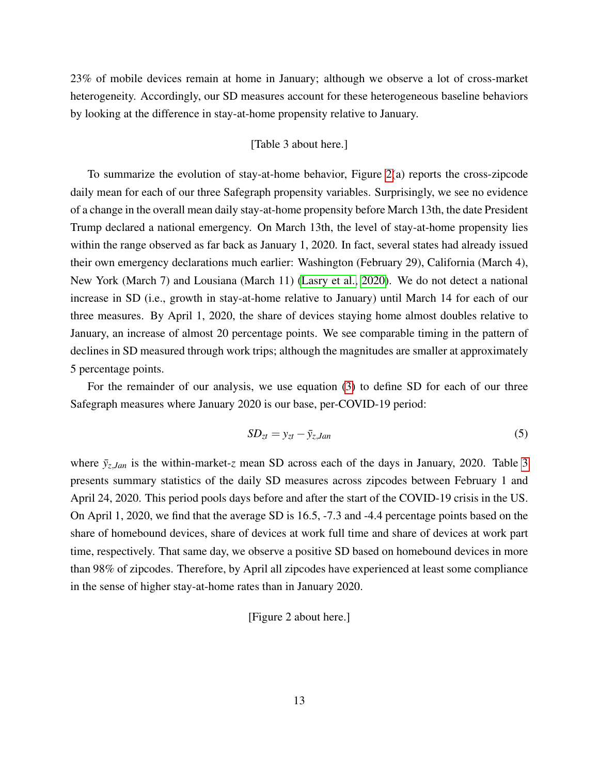23% of mobile devices remain at home in January; although we observe a lot of cross-market heterogeneity. Accordingly, our SD measures account for these heterogeneous baseline behaviors by looking at the difference in stay-at-home propensity relative to January.

#### [Table 3 about here.]

To summarize the evolution of stay-at-home behavior, Figure [2\(](#page-36-0)a) reports the cross-zipcode daily mean for each of our three Safegraph propensity variables. Surprisingly, we see no evidence of a change in the overall mean daily stay-at-home propensity before March 13th, the date President Trump declared a national emergency. On March 13th, the level of stay-at-home propensity lies within the range observed as far back as January 1, 2020. In fact, several states had already issued their own emergency declarations much earlier: Washington (February 29), California (March 4), New York (March 7) and Lousiana (March 11) [\(Lasry et al., 2020\)](#page-30-10). We do not detect a national increase in SD (i.e., growth in stay-at-home relative to January) until March 14 for each of our three measures. By April 1, 2020, the share of devices staying home almost doubles relative to January, an increase of almost 20 percentage points. We see comparable timing in the pattern of declines in SD measured through work trips; although the magnitudes are smaller at approximately 5 percentage points.

For the remainder of our analysis, we use equation [\(3\)](#page-9-1) to define SD for each of our three Safegraph measures where January 2020 is our base, per-COVID-19 period:

$$
SD_{zt} = y_{zt} - \bar{y}_{z,Jan} \tag{5}
$$

where  $\bar{y}_z$ ,*Jan* is the within-market-*z* mean SD across each of the days in January, 2020. Table [3](#page-42-0) presents summary statistics of the daily SD measures across zipcodes between February 1 and April 24, 2020. This period pools days before and after the start of the COVID-19 crisis in the US. On April 1, 2020, we find that the average SD is 16.5, -7.3 and -4.4 percentage points based on the share of homebound devices, share of devices at work full time and share of devices at work part time, respectively. That same day, we observe a positive SD based on homebound devices in more than 98% of zipcodes. Therefore, by April all zipcodes have experienced at least some compliance in the sense of higher stay-at-home rates than in January 2020.

#### [Figure 2 about here.]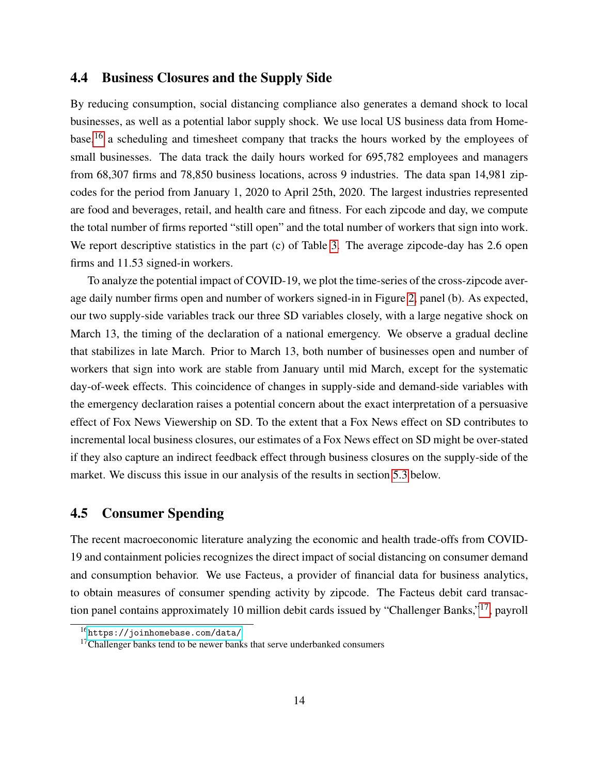# <span id="page-14-0"></span>4.4 Business Closures and the Supply Side

By reducing consumption, social distancing compliance also generates a demand shock to local businesses, as well as a potential labor supply shock. We use local US business data from Home-base,<sup>[16](#page--1-0)</sup> a scheduling and timesheet company that tracks the hours worked by the employees of small businesses. The data track the daily hours worked for 695,782 employees and managers from 68,307 firms and 78,850 business locations, across 9 industries. The data span 14,981 zipcodes for the period from January 1, 2020 to April 25th, 2020. The largest industries represented are food and beverages, retail, and health care and fitness. For each zipcode and day, we compute the total number of firms reported "still open" and the total number of workers that sign into work. We report descriptive statistics in the part (c) of Table [3.](#page-42-0) The average zipcode-day has 2.6 open firms and 11.53 signed-in workers.

To analyze the potential impact of COVID-19, we plot the time-series of the cross-zipcode average daily number firms open and number of workers signed-in in Figure [2,](#page-36-0) panel (b). As expected, our two supply-side variables track our three SD variables closely, with a large negative shock on March 13, the timing of the declaration of a national emergency. We observe a gradual decline that stabilizes in late March. Prior to March 13, both number of businesses open and number of workers that sign into work are stable from January until mid March, except for the systematic day-of-week effects. This coincidence of changes in supply-side and demand-side variables with the emergency declaration raises a potential concern about the exact interpretation of a persuasive effect of Fox News Viewership on SD. To the extent that a Fox News effect on SD contributes to incremental local business closures, our estimates of a Fox News effect on SD might be over-stated if they also capture an indirect feedback effect through business closures on the supply-side of the market. We discuss this issue in our analysis of the results in section [5.3](#page-21-0) below.

### 4.5 Consumer Spending

The recent macroeconomic literature analyzing the economic and health trade-offs from COVID-19 and containment policies recognizes the direct impact of social distancing on consumer demand and consumption behavior. We use Facteus, a provider of financial data for business analytics, to obtain measures of consumer spending activity by zipcode. The Facteus debit card transaction panel contains approximately 10 million debit cards issued by "Challenger Banks,"[17](#page--1-0), payroll

<sup>16</sup><https://joinhomebase.com/data/>

 $17$ Challenger banks tend to be newer banks that serve underbanked consumers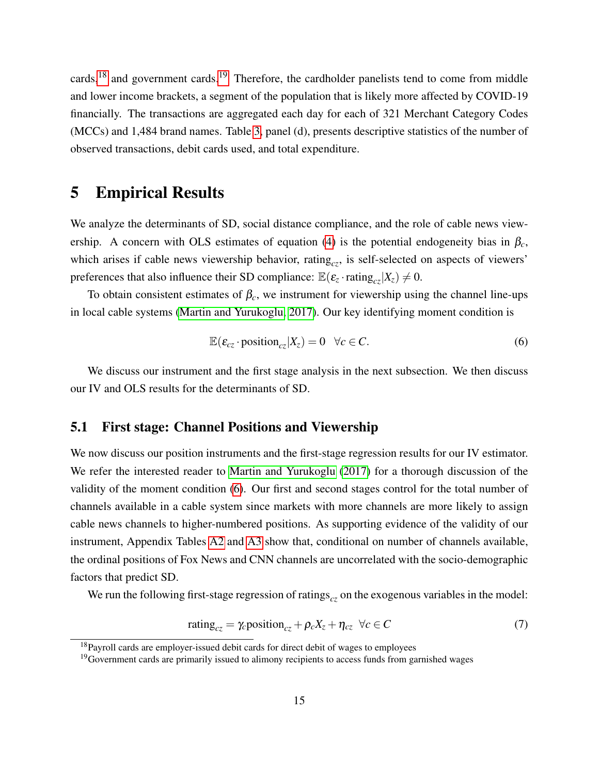cards,<sup>[18](#page--1-0)</sup> and government cards.<sup>[19](#page--1-0)</sup> Therefore, the cardholder panelists tend to come from middle and lower income brackets, a segment of the population that is likely more affected by COVID-19 financially. The transactions are aggregated each day for each of 321 Merchant Category Codes (MCCs) and 1,484 brand names. Table [3,](#page-42-0) panel (d), presents descriptive statistics of the number of observed transactions, debit cards used, and total expenditure.

# <span id="page-15-0"></span>5 Empirical Results

We analyze the determinants of SD, social distance compliance, and the role of cable news view-ership. A concern with OLS estimates of equation [\(4\)](#page-9-2) is the potential endogeneity bias in  $\beta_c$ , which arises if cable news viewership behavior, rating<sub>cz</sub>, is self-selected on aspects of viewers' preferences that also influence their SD compliance:  $\mathbb{E}(\varepsilon_z \cdot \text{rating}_{cz}|X_z) \neq 0$ .

To obtain consistent estimates of  $\beta_c$ , we instrument for viewership using the channel line-ups in local cable systems [\(Martin and Yurukoglu, 2017\)](#page-31-1). Our key identifying moment condition is

<span id="page-15-2"></span>
$$
\mathbb{E}(\varepsilon_{cz} \cdot \text{position}_{cz}|X_z) = 0 \quad \forall c \in C. \tag{6}
$$

We discuss our instrument and the first stage analysis in the next subsection. We then discuss our IV and OLS results for the determinants of SD.

### <span id="page-15-1"></span>5.1 First stage: Channel Positions and Viewership

We now discuss our position instruments and the first-stage regression results for our IV estimator. We refer the interested reader to [Martin and Yurukoglu](#page-31-1) [\(2017\)](#page-31-1) for a thorough discussion of the validity of the moment condition [\(6\)](#page-15-2). Our first and second stages control for the total number of channels available in a cable system since markets with more channels are more likely to assign cable news channels to higher-numbered positions. As supporting evidence of the validity of our instrument, Appendix Tables [A2](#page-41-0) and [A3](#page-42-0) show that, conditional on number of channels available, the ordinal positions of Fox News and CNN channels are uncorrelated with the socio-demographic factors that predict SD.

We run the following first-stage regression of ratings<sub>cz</sub> on the exogenous variables in the model:

<span id="page-15-3"></span>
$$
rating_{cz} = \gamma_c position_{cz} + \rho_c X_z + \eta_{cz} \ \forall c \in C \tag{7}
$$

<sup>&</sup>lt;sup>18</sup>Payroll cards are employer-issued debit cards for direct debit of wages to employees

<sup>&</sup>lt;sup>19</sup>Government cards are primarily issued to alimony recipients to access funds from garnished wages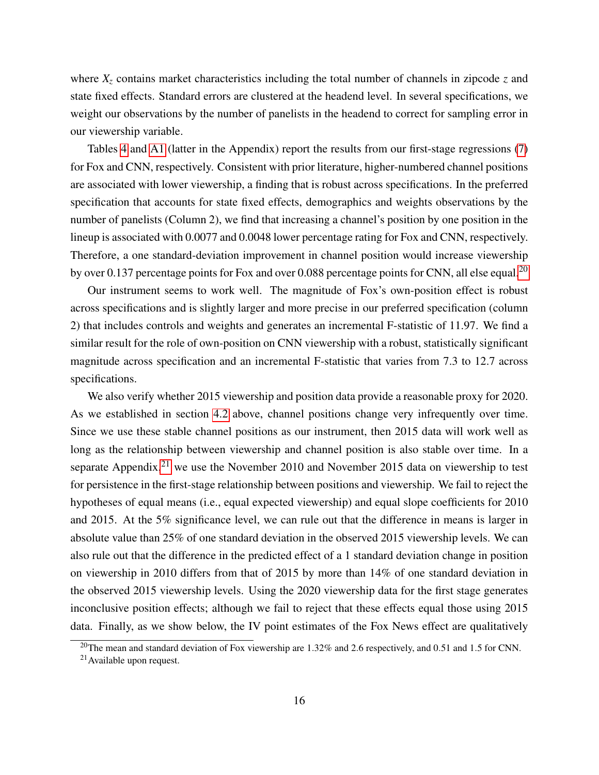where  $X<sub>z</sub>$  contains market characteristics including the total number of channels in zipcode  $z$  and state fixed effects. Standard errors are clustered at the headend level. In several specifications, we weight our observations by the number of panelists in the headend to correct for sampling error in our viewership variable.

Tables [4](#page-43-0) and [A1](#page-40-0) (latter in the Appendix) report the results from our first-stage regressions [\(7\)](#page-15-3) for Fox and CNN, respectively. Consistent with prior literature, higher-numbered channel positions are associated with lower viewership, a finding that is robust across specifications. In the preferred specification that accounts for state fixed effects, demographics and weights observations by the number of panelists (Column 2), we find that increasing a channel's position by one position in the lineup is associated with 0.0077 and 0.0048 lower percentage rating for Fox and CNN, respectively. Therefore, a one standard-deviation improvement in channel position would increase viewership by over 0.137 percentage points for Fox and over 0.088 percentage points for CNN, all else equal.<sup>[20](#page--1-0)</sup>

Our instrument seems to work well. The magnitude of Fox's own-position effect is robust across specifications and is slightly larger and more precise in our preferred specification (column 2) that includes controls and weights and generates an incremental F-statistic of 11.97. We find a similar result for the role of own-position on CNN viewership with a robust, statistically significant magnitude across specification and an incremental F-statistic that varies from 7.3 to 12.7 across specifications.

We also verify whether 2015 viewership and position data provide a reasonable proxy for 2020. As we established in section [4.2](#page-11-0) above, channel positions change very infrequently over time. Since we use these stable channel positions as our instrument, then 2015 data will work well as long as the relationship between viewership and channel position is also stable over time. In a separate Appendix, $2^{1}$  we use the November 2010 and November 2015 data on viewership to test for persistence in the first-stage relationship between positions and viewership. We fail to reject the hypotheses of equal means (i.e., equal expected viewership) and equal slope coefficients for 2010 and 2015. At the 5% significance level, we can rule out that the difference in means is larger in absolute value than 25% of one standard deviation in the observed 2015 viewership levels. We can also rule out that the difference in the predicted effect of a 1 standard deviation change in position on viewership in 2010 differs from that of 2015 by more than 14% of one standard deviation in the observed 2015 viewership levels. Using the 2020 viewership data for the first stage generates inconclusive position effects; although we fail to reject that these effects equal those using 2015 data. Finally, as we show below, the IV point estimates of the Fox News effect are qualitatively

<sup>&</sup>lt;sup>20</sup>The mean and standard deviation of Fox viewership are 1.32% and 2.6 respectively, and 0.51 and 1.5 for CNN.

 $21$  Available upon request.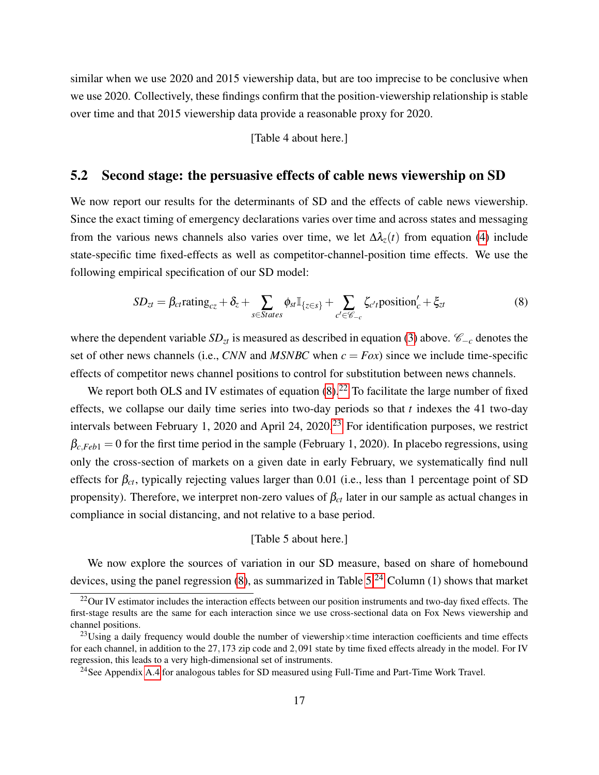similar when we use 2020 and 2015 viewership data, but are too imprecise to be conclusive when we use 2020. Collectively, these findings confirm that the position-viewership relationship is stable over time and that 2015 viewership data provide a reasonable proxy for 2020.

[Table 4 about here.]

#### 5.2 Second stage: the persuasive effects of cable news viewership on SD

We now report our results for the determinants of SD and the effects of cable news viewership. Since the exact timing of emergency declarations varies over time and across states and messaging from the various news channels also varies over time, we let  $\Delta \lambda_z(t)$  from equation [\(4\)](#page-9-2) include state-specific time fixed-effects as well as competitor-channel-position time effects. We use the following empirical specification of our SD model:

<span id="page-17-0"></span>
$$
SD_{zt} = \beta_{ct} \text{rating}_{cz} + \delta_z + \sum_{s \in States} \phi_{st} \mathbb{I}_{\{z \in s\}} + \sum_{c' \in \mathscr{C}_{-c}} \zeta_{c't} \text{position}'_c + \xi_{zt}
$$
(8)

where the dependent variable *SD*<sub>*zt*</sub> is measured as described in equation [\(3\)](#page-9-1) above.  $\mathcal{C}_{-c}$  denotes the set of other news channels (i.e., *CNN* and *MSNBC* when  $c = F\alpha x$ ) since we include time-specific effects of competitor news channel positions to control for substitution between news channels.

We report both OLS and IV estimates of equation  $(8)$ .<sup>[22](#page--1-0)</sup> To facilitate the large number of fixed effects, we collapse our daily time series into two-day periods so that *t* indexes the 41 two-day intervals between February 1, 2020 and April 24, 2020.<sup>[23](#page--1-0)</sup> For identification purposes, we restrict  $\beta_{c, Feb1} = 0$  for the first time period in the sample (February 1, 2020). In placebo regressions, using only the cross-section of markets on a given date in early February, we systematically find null effects for  $\beta_{ct}$ , typically rejecting values larger than 0.01 (i.e., less than 1 percentage point of SD propensity). Therefore, we interpret non-zero values of  $\beta_{ct}$  later in our sample as actual changes in compliance in social distancing, and not relative to a base period.

#### [Table 5 about here.]

We now explore the sources of variation in our SD measure, based on share of homebound devices, using the panel regression [\(8\)](#page-17-0), as summarized in Table [5.](#page-44-0)[24](#page--1-0) Column (1) shows that market

 $^{22}$ Our IV estimator includes the interaction effects between our position instruments and two-day fixed effects. The first-stage results are the same for each interaction since we use cross-sectional data on Fox News viewership and channel positions.

<sup>&</sup>lt;sup>23</sup>Using a daily frequency would double the number of viewership×time interaction coefficients and time effects for each channel, in addition to the 27,173 zip code and 2,091 state by time fixed effects already in the model. For IV regression, this leads to a very high-dimensional set of instruments.

<sup>24</sup>See Appendix [A.4](#page-45-1) for analogous tables for SD measured using Full-Time and Part-Time Work Travel.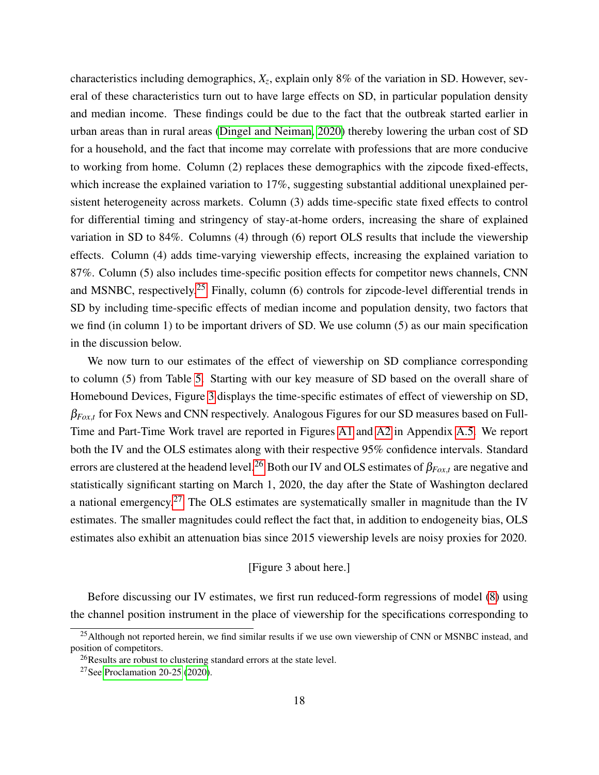characteristics including demographics, *X<sup>z</sup>* , explain only 8% of the variation in SD. However, several of these characteristics turn out to have large effects on SD, in particular population density and median income. These findings could be due to the fact that the outbreak started earlier in urban areas than in rural areas [\(Dingel and Neiman, 2020\)](#page-29-11) thereby lowering the urban cost of SD for a household, and the fact that income may correlate with professions that are more conducive to working from home. Column (2) replaces these demographics with the zipcode fixed-effects, which increase the explained variation to 17%, suggesting substantial additional unexplained persistent heterogeneity across markets. Column (3) adds time-specific state fixed effects to control for differential timing and stringency of stay-at-home orders, increasing the share of explained variation in SD to 84%. Columns (4) through (6) report OLS results that include the viewership effects. Column (4) adds time-varying viewership effects, increasing the explained variation to 87%. Column (5) also includes time-specific position effects for competitor news channels, CNN and MSNBC, respectively.<sup>[25](#page--1-0)</sup> Finally, column (6) controls for zipcode-level differential trends in SD by including time-specific effects of median income and population density, two factors that we find (in column 1) to be important drivers of SD. We use column (5) as our main specification in the discussion below.

We now turn to our estimates of the effect of viewership on SD compliance corresponding to column (5) from Table [5.](#page-44-0) Starting with our key measure of SD based on the overall share of Homebound Devices, Figure [3](#page-37-0) displays the time-specific estimates of effect of viewership on SD, β*Fox*,*<sup>t</sup>* for Fox News and CNN respectively. Analogous Figures for our SD measures based on Full-Time and Part-Time Work travel are reported in Figures [A1](#page-35-0) and [A2](#page-36-0) in Appendix [A.5.](#page-46-1) We report both the IV and the OLS estimates along with their respective 95% confidence intervals. Standard errors are clustered at the headend level.<sup>[26](#page--1-0)</sup> Both our IV and OLS estimates of  $\beta_{Fox,t}$  are negative and statistically significant starting on March 1, 2020, the day after the State of Washington declared a national emergency.<sup>[27](#page--1-0)</sup> The OLS estimates are systematically smaller in magnitude than the IV estimates. The smaller magnitudes could reflect the fact that, in addition to endogeneity bias, OLS estimates also exhibit an attenuation bias since 2015 viewership levels are noisy proxies for 2020.

#### [Figure 3 about here.]

Before discussing our IV estimates, we first run reduced-form regressions of model [\(8\)](#page-17-0) using the channel position instrument in the place of viewership for the specifications corresponding to

<sup>&</sup>lt;sup>25</sup> Although not reported herein, we find similar results if we use own viewership of CNN or MSNBC instead, and position of competitors.

<sup>&</sup>lt;sup>26</sup>Results are robust to clustering standard errors at the state level.

<sup>27</sup>See [Proclamation 20-25](#page-32-11) [\(2020\)](#page-32-11).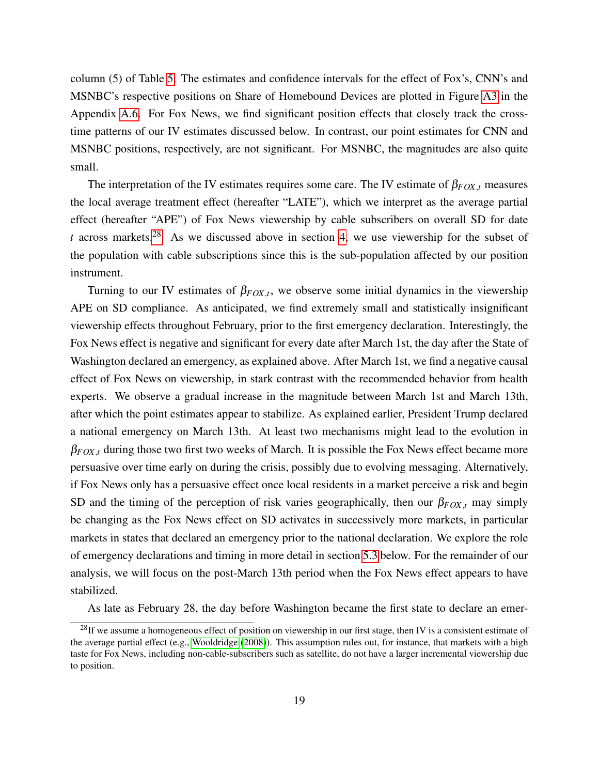column (5) of Table [5.](#page-44-0) The estimates and confidence intervals for the effect of Fox's, CNN's and MSNBC's respective positions on Share of Homebound Devices are plotted in Figure [A3](#page-37-0) in the Appendix [A.6.](#page-46-2) For Fox News, we find significant position effects that closely track the crosstime patterns of our IV estimates discussed below. In contrast, our point estimates for CNN and MSNBC positions, respectively, are not significant. For MSNBC, the magnitudes are also quite small.

The interpretation of the IV estimates requires some care. The IV estimate of  $\beta_{FOX,t}$  measures the local average treatment effect (hereafter "LATE"), which we interpret as the average partial effect (hereafter "APE") of Fox News viewership by cable subscribers on overall SD for date *t* across markets.[28](#page--1-0) As we discussed above in section [4,](#page-10-0) we use viewership for the subset of the population with cable subscriptions since this is the sub-population affected by our position instrument.

Turning to our IV estimates of  $\beta_{FOX,t}$ , we observe some initial dynamics in the viewership APE on SD compliance. As anticipated, we find extremely small and statistically insignificant viewership effects throughout February, prior to the first emergency declaration. Interestingly, the Fox News effect is negative and significant for every date after March 1st, the day after the State of Washington declared an emergency, as explained above. After March 1st, we find a negative causal effect of Fox News on viewership, in stark contrast with the recommended behavior from health experts. We observe a gradual increase in the magnitude between March 1st and March 13th, after which the point estimates appear to stabilize. As explained earlier, President Trump declared a national emergency on March 13th. At least two mechanisms might lead to the evolution in  $\beta_{FOX,t}$  during those two first two weeks of March. It is possible the Fox News effect became more persuasive over time early on during the crisis, possibly due to evolving messaging. Alternatively, if Fox News only has a persuasive effect once local residents in a market perceive a risk and begin SD and the timing of the perception of risk varies geographically, then our  $\beta_{FOX,t}$  may simply be changing as the Fox News effect on SD activates in successively more markets, in particular markets in states that declared an emergency prior to the national declaration. We explore the role of emergency declarations and timing in more detail in section [5.3](#page-21-0) below. For the remainder of our analysis, we will focus on the post-March 13th period when the Fox News effect appears to have stabilized.

As late as February 28, the day before Washington became the first state to declare an emer-

 $^{28}$ If we assume a homogeneous effect of position on viewership in our first stage, then IV is a consistent estimate of the average partial effect (e.g., [Wooldridge](#page-33-9) [\(2008\)](#page-33-9)). This assumption rules out, for instance, that markets with a high taste for Fox News, including non-cable-subscribers such as satellite, do not have a larger incremental viewership due to position.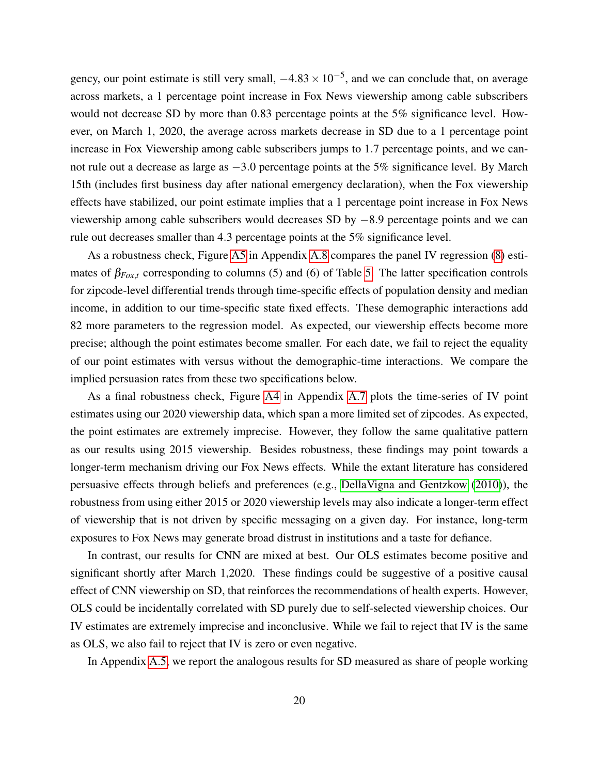gency, our point estimate is still very small,  $-4.83 \times 10^{-5}$ , and we can conclude that, on average across markets, a 1 percentage point increase in Fox News viewership among cable subscribers would not decrease SD by more than 0.83 percentage points at the 5% significance level. However, on March 1, 2020, the average across markets decrease in SD due to a 1 percentage point increase in Fox Viewership among cable subscribers jumps to 1.7 percentage points, and we cannot rule out a decrease as large as  $-3.0$  percentage points at the 5% significance level. By March 15th (includes first business day after national emergency declaration), when the Fox viewership effects have stabilized, our point estimate implies that a 1 percentage point increase in Fox News viewership among cable subscribers would decreases SD by −8.9 percentage points and we can rule out decreases smaller than 4.3 percentage points at the 5% significance level.

As a robustness check, Figure [A5](#page-39-0) in Appendix [A.8](#page-46-3) compares the panel IV regression [\(8\)](#page-17-0) estimates of  $\beta_{Fox,t}$  corresponding to columns (5) and (6) of Table [5.](#page-44-0) The latter specification controls for zipcode-level differential trends through time-specific effects of population density and median income, in addition to our time-specific state fixed effects. These demographic interactions add 82 more parameters to the regression model. As expected, our viewership effects become more precise; although the point estimates become smaller. For each date, we fail to reject the equality of our point estimates with versus without the demographic-time interactions. We compare the implied persuasion rates from these two specifications below.

As a final robustness check, Figure [A4](#page-38-0) in Appendix [A.7](#page-46-4) plots the time-series of IV point estimates using our 2020 viewership data, which span a more limited set of zipcodes. As expected, the point estimates are extremely imprecise. However, they follow the same qualitative pattern as our results using 2015 viewership. Besides robustness, these findings may point towards a longer-term mechanism driving our Fox News effects. While the extant literature has considered persuasive effects through beliefs and preferences (e.g., [DellaVigna and Gentzkow](#page-29-3) [\(2010\)](#page-29-3)), the robustness from using either 2015 or 2020 viewership levels may also indicate a longer-term effect of viewership that is not driven by specific messaging on a given day. For instance, long-term exposures to Fox News may generate broad distrust in institutions and a taste for defiance.

In contrast, our results for CNN are mixed at best. Our OLS estimates become positive and significant shortly after March 1,2020. These findings could be suggestive of a positive causal effect of CNN viewership on SD, that reinforces the recommendations of health experts. However, OLS could be incidentally correlated with SD purely due to self-selected viewership choices. Our IV estimates are extremely imprecise and inconclusive. While we fail to reject that IV is the same as OLS, we also fail to reject that IV is zero or even negative.

In Appendix [A.5,](#page-46-1) we report the analogous results for SD measured as share of people working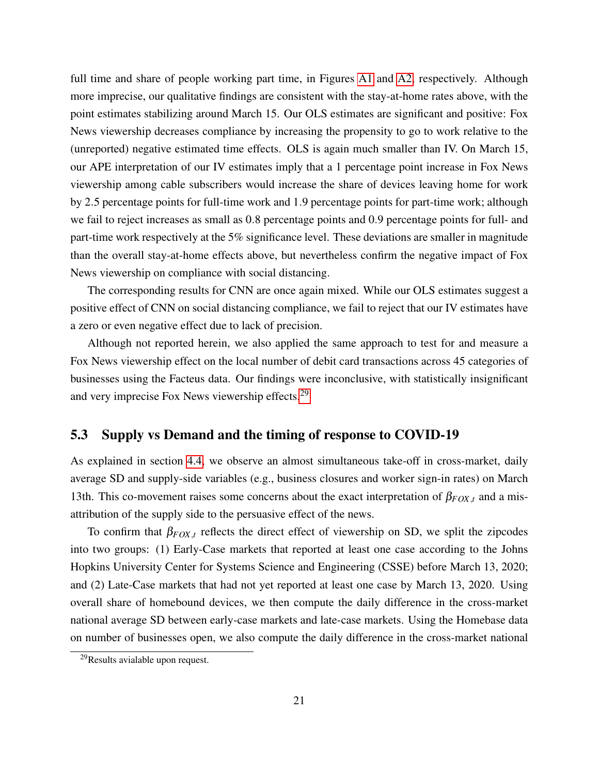full time and share of people working part time, in Figures [A1](#page-35-0) and [A2,](#page-36-0) respectively. Although more imprecise, our qualitative findings are consistent with the stay-at-home rates above, with the point estimates stabilizing around March 15. Our OLS estimates are significant and positive: Fox News viewership decreases compliance by increasing the propensity to go to work relative to the (unreported) negative estimated time effects. OLS is again much smaller than IV. On March 15, our APE interpretation of our IV estimates imply that a 1 percentage point increase in Fox News viewership among cable subscribers would increase the share of devices leaving home for work by 2.5 percentage points for full-time work and 1.9 percentage points for part-time work; although we fail to reject increases as small as 0.8 percentage points and 0.9 percentage points for full- and part-time work respectively at the 5% significance level. These deviations are smaller in magnitude than the overall stay-at-home effects above, but nevertheless confirm the negative impact of Fox News viewership on compliance with social distancing.

The corresponding results for CNN are once again mixed. While our OLS estimates suggest a positive effect of CNN on social distancing compliance, we fail to reject that our IV estimates have a zero or even negative effect due to lack of precision.

Although not reported herein, we also applied the same approach to test for and measure a Fox News viewership effect on the local number of debit card transactions across 45 categories of businesses using the Facteus data. Our findings were inconclusive, with statistically insignificant and very imprecise Fox News viewership effects.<sup>[29](#page--1-0)</sup>

### <span id="page-21-0"></span>5.3 Supply vs Demand and the timing of response to COVID-19

As explained in section [4.4,](#page-14-0) we observe an almost simultaneous take-off in cross-market, daily average SD and supply-side variables (e.g., business closures and worker sign-in rates) on March 13th. This co-movement raises some concerns about the exact interpretation of  $\beta_{FOX,t}$  and a misattribution of the supply side to the persuasive effect of the news.

To confirm that  $\beta_{FOX,t}$  reflects the direct effect of viewership on SD, we split the zipcodes into two groups: (1) Early-Case markets that reported at least one case according to the Johns Hopkins University Center for Systems Science and Engineering (CSSE) before March 13, 2020; and (2) Late-Case markets that had not yet reported at least one case by March 13, 2020. Using overall share of homebound devices, we then compute the daily difference in the cross-market national average SD between early-case markets and late-case markets. Using the Homebase data on number of businesses open, we also compute the daily difference in the cross-market national

 $^{29}$ Results avialable upon request.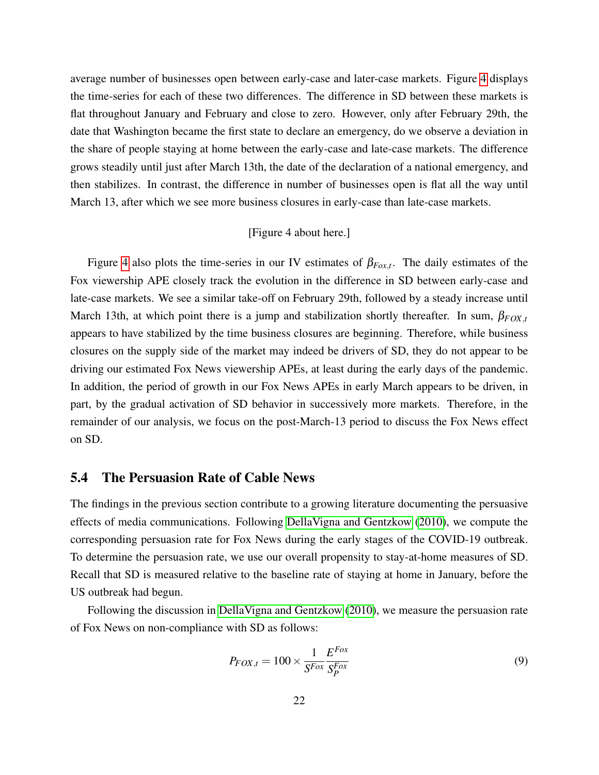average number of businesses open between early-case and later-case markets. Figure [4](#page-38-0) displays the time-series for each of these two differences. The difference in SD between these markets is flat throughout January and February and close to zero. However, only after February 29th, the date that Washington became the first state to declare an emergency, do we observe a deviation in the share of people staying at home between the early-case and late-case markets. The difference grows steadily until just after March 13th, the date of the declaration of a national emergency, and then stabilizes. In contrast, the difference in number of businesses open is flat all the way until March 13, after which we see more business closures in early-case than late-case markets.

#### [Figure 4 about here.]

Figure [4](#page-38-0) also plots the time-series in our IV estimates of  $\beta_{Fox,t}$ . The daily estimates of the Fox viewership APE closely track the evolution in the difference in SD between early-case and late-case markets. We see a similar take-off on February 29th, followed by a steady increase until March 13th, at which point there is a jump and stabilization shortly thereafter. In sum, β*FOX*,*<sup>t</sup>* appears to have stabilized by the time business closures are beginning. Therefore, while business closures on the supply side of the market may indeed be drivers of SD, they do not appear to be driving our estimated Fox News viewership APEs, at least during the early days of the pandemic. In addition, the period of growth in our Fox News APEs in early March appears to be driven, in part, by the gradual activation of SD behavior in successively more markets. Therefore, in the remainder of our analysis, we focus on the post-March-13 period to discuss the Fox News effect on SD.

#### <span id="page-22-0"></span>5.4 The Persuasion Rate of Cable News

The findings in the previous section contribute to a growing literature documenting the persuasive effects of media communications. Following [DellaVigna and Gentzkow](#page-29-3) [\(2010\)](#page-29-3), we compute the corresponding persuasion rate for Fox News during the early stages of the COVID-19 outbreak. To determine the persuasion rate, we use our overall propensity to stay-at-home measures of SD. Recall that SD is measured relative to the baseline rate of staying at home in January, before the US outbreak had begun.

Following the discussion in [DellaVigna and Gentzkow](#page-29-3) [\(2010\)](#page-29-3), we measure the persuasion rate of Fox News on non-compliance with SD as follows:

<span id="page-22-1"></span>
$$
P_{FOX,t} = 100 \times \frac{1}{S^{Fox}} \frac{E^{Fox}}{S_P^{Fox}}
$$
\n(9)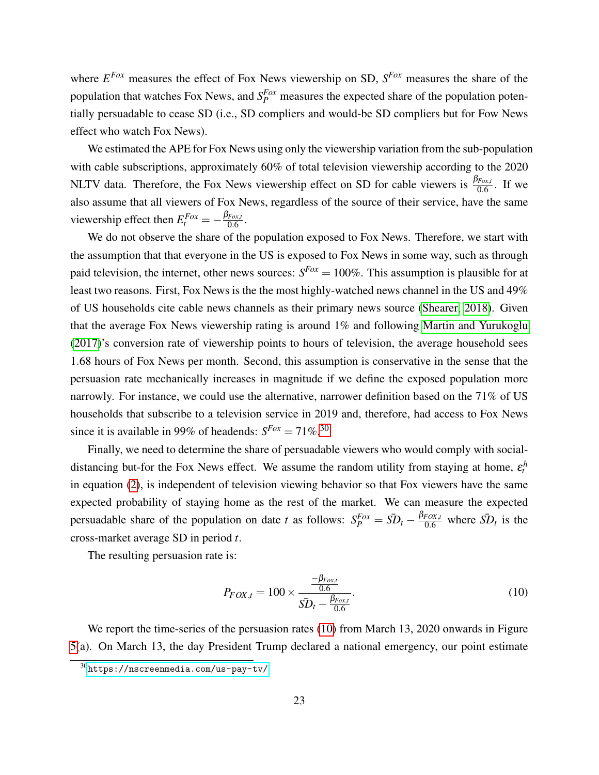where *E Fox* measures the effect of Fox News viewership on SD, *S Fox* measures the share of the population that watches Fox News, and  $S_P^{Fox}$  measures the expected share of the population potentially persuadable to cease SD (i.e., SD compliers and would-be SD compliers but for Fow News effect who watch Fox News).

We estimated the APE for Fox News using only the viewership variation from the sub-population with cable subscriptions, approximately 60% of total television viewership according to the 2020 NLTV data. Therefore, the Fox News viewership effect on SD for cable viewers is  $\frac{\beta_{Fox,t}}{0.6}$ . If we also assume that all viewers of Fox News, regardless of the source of their service, have the same viewership effect then  $E_t^{Fox} = -\frac{\beta_{Fox,t}}{0.6}$  $\frac{Fox,t}{0.6}$  .

We do not observe the share of the population exposed to Fox News. Therefore, we start with the assumption that that everyone in the US is exposed to Fox News in some way, such as through paid television, the internet, other news sources:  $S^{Fox} = 100\%$ . This assumption is plausible for at least two reasons. First, Fox News is the the most highly-watched news channel in the US and 49% of US households cite cable news channels as their primary news source [\(Shearer, 2018\)](#page-32-7). Given that the average Fox News viewership rating is around 1% and following [Martin and Yurukoglu](#page-31-1) [\(2017\)](#page-31-1)'s conversion rate of viewership points to hours of television, the average household sees 1.68 hours of Fox News per month. Second, this assumption is conservative in the sense that the persuasion rate mechanically increases in magnitude if we define the exposed population more narrowly. For instance, we could use the alternative, narrower definition based on the 71% of US households that subscribe to a television service in 2019 and, therefore, had access to Fox News since it is available in 99% of headends:  $S^{Fox} = 71\%$ <sup>[30](#page--1-0)</sup>

Finally, we need to determine the share of persuadable viewers who would comply with socialdistancing but-for the Fox News effect. We assume the random utility from staying at home,  $\varepsilon_t^h$ in equation [\(2\)](#page-9-0), is independent of television viewing behavior so that Fox viewers have the same expected probability of staying home as the rest of the market. We can measure the expected persuadable share of the population on date *t* as follows:  $S_P^{Fox} = \overline{SD}_t - \frac{\beta_{FOX,t}}{0.6}$  where  $\overline{SD}_t$  is the cross-market average SD in period *t*.

The resulting persuasion rate is:

<span id="page-23-0"></span>
$$
P_{FOX,t} = 100 \times \frac{\frac{-\beta_{Fox,t}}{0.6}}{\bar{SD}_t - \frac{\beta_{Fox,t}}{0.6}}.
$$
\n(10)

We report the time-series of the persuasion rates [\(10\)](#page-23-0) from March 13, 2020 onwards in Figure [5\(](#page-39-0)a). On March 13, the day President Trump declared a national emergency, our point estimate

<sup>30</sup><https://nscreenmedia.com/us-pay-tv/>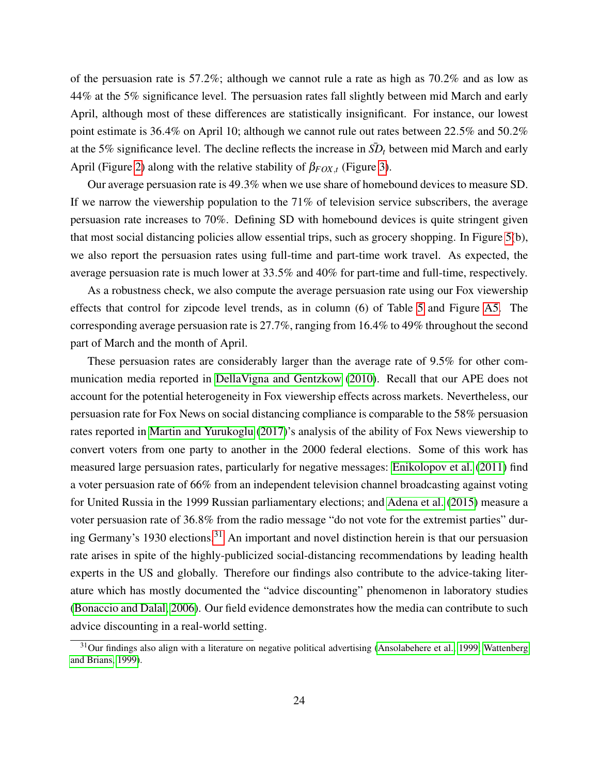of the persuasion rate is 57.2%; although we cannot rule a rate as high as 70.2% and as low as 44% at the 5% significance level. The persuasion rates fall slightly between mid March and early April, although most of these differences are statistically insignificant. For instance, our lowest point estimate is 36.4% on April 10; although we cannot rule out rates between 22.5% and 50.2% at the 5% significance level. The decline reflects the increase in  $\bar{SD}_t$  between mid March and early April (Figure [2\)](#page-36-0) along with the relative stability of  $\beta_{FOX,t}$  (Figure [3\)](#page-37-0).

Our average persuasion rate is 49.3% when we use share of homebound devices to measure SD. If we narrow the viewership population to the 71% of television service subscribers, the average persuasion rate increases to 70%. Defining SD with homebound devices is quite stringent given that most social distancing policies allow essential trips, such as grocery shopping. In Figure [5\(](#page-39-0)b), we also report the persuasion rates using full-time and part-time work travel. As expected, the average persuasion rate is much lower at 33.5% and 40% for part-time and full-time, respectively.

As a robustness check, we also compute the average persuasion rate using our Fox viewership effects that control for zipcode level trends, as in column (6) of Table [5](#page-44-0) and Figure [A5.](#page-39-0) The corresponding average persuasion rate is 27.7%, ranging from 16.4% to 49% throughout the second part of March and the month of April.

These persuasion rates are considerably larger than the average rate of 9.5% for other communication media reported in [DellaVigna and Gentzkow](#page-29-3) [\(2010\)](#page-29-3). Recall that our APE does not account for the potential heterogeneity in Fox viewership effects across markets. Nevertheless, our persuasion rate for Fox News on social distancing compliance is comparable to the 58% persuasion rates reported in [Martin and Yurukoglu](#page-31-1) [\(2017\)](#page-31-1)'s analysis of the ability of Fox News viewership to convert voters from one party to another in the 2000 federal elections. Some of this work has measured large persuasion rates, particularly for negative messages: [Enikolopov et al.](#page-29-6) [\(2011\)](#page-29-6) find a voter persuasion rate of 66% from an independent television channel broadcasting against voting for United Russia in the 1999 Russian parliamentary elections; and [Adena et al.](#page-27-9) [\(2015\)](#page-27-9) measure a voter persuasion rate of 36.8% from the radio message "do not vote for the extremist parties" dur-ing Germany's 1930 elections.<sup>[31](#page--1-0)</sup> An important and novel distinction herein is that our persuasion rate arises in spite of the highly-publicized social-distancing recommendations by leading health experts in the US and globally. Therefore our findings also contribute to the advice-taking literature which has mostly documented the "advice discounting" phenomenon in laboratory studies [\(Bonaccio and Dalal, 2006\)](#page-28-9). Our field evidence demonstrates how the media can contribute to such advice discounting in a real-world setting.

<sup>&</sup>lt;sup>31</sup>Our findings also align with a literature on negative political advertising [\(Ansolabehere et al., 1999;](#page-27-10) [Wattenberg](#page-33-10) [and Brians, 1999\)](#page-33-10).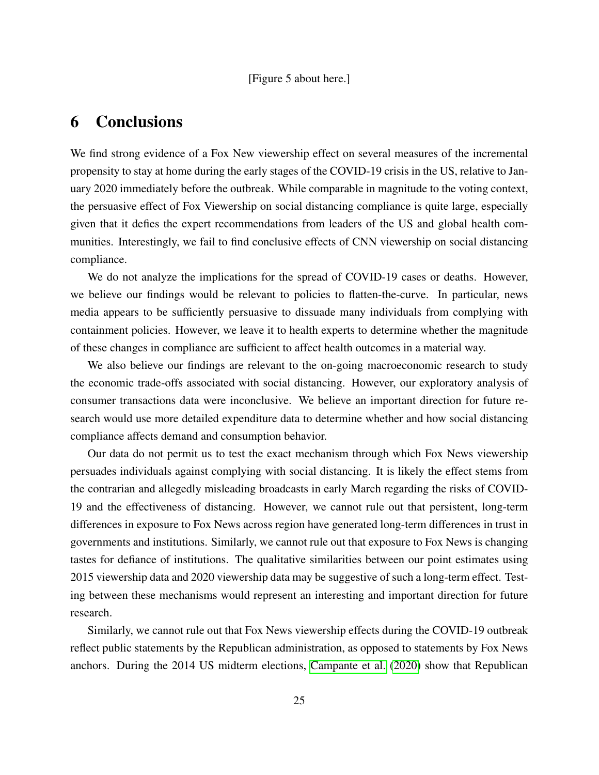# <span id="page-25-0"></span>6 Conclusions

We find strong evidence of a Fox New viewership effect on several measures of the incremental propensity to stay at home during the early stages of the COVID-19 crisis in the US, relative to January 2020 immediately before the outbreak. While comparable in magnitude to the voting context, the persuasive effect of Fox Viewership on social distancing compliance is quite large, especially given that it defies the expert recommendations from leaders of the US and global health communities. Interestingly, we fail to find conclusive effects of CNN viewership on social distancing compliance.

We do not analyze the implications for the spread of COVID-19 cases or deaths. However, we believe our findings would be relevant to policies to flatten-the-curve. In particular, news media appears to be sufficiently persuasive to dissuade many individuals from complying with containment policies. However, we leave it to health experts to determine whether the magnitude of these changes in compliance are sufficient to affect health outcomes in a material way.

We also believe our findings are relevant to the on-going macroeconomic research to study the economic trade-offs associated with social distancing. However, our exploratory analysis of consumer transactions data were inconclusive. We believe an important direction for future research would use more detailed expenditure data to determine whether and how social distancing compliance affects demand and consumption behavior.

Our data do not permit us to test the exact mechanism through which Fox News viewership persuades individuals against complying with social distancing. It is likely the effect stems from the contrarian and allegedly misleading broadcasts in early March regarding the risks of COVID-19 and the effectiveness of distancing. However, we cannot rule out that persistent, long-term differences in exposure to Fox News across region have generated long-term differences in trust in governments and institutions. Similarly, we cannot rule out that exposure to Fox News is changing tastes for defiance of institutions. The qualitative similarities between our point estimates using 2015 viewership data and 2020 viewership data may be suggestive of such a long-term effect. Testing between these mechanisms would represent an interesting and important direction for future research.

Similarly, we cannot rule out that Fox News viewership effects during the COVID-19 outbreak reflect public statements by the Republican administration, as opposed to statements by Fox News anchors. During the 2014 US midterm elections, [Campante et al.](#page-28-10) [\(2020\)](#page-28-10) show that Republican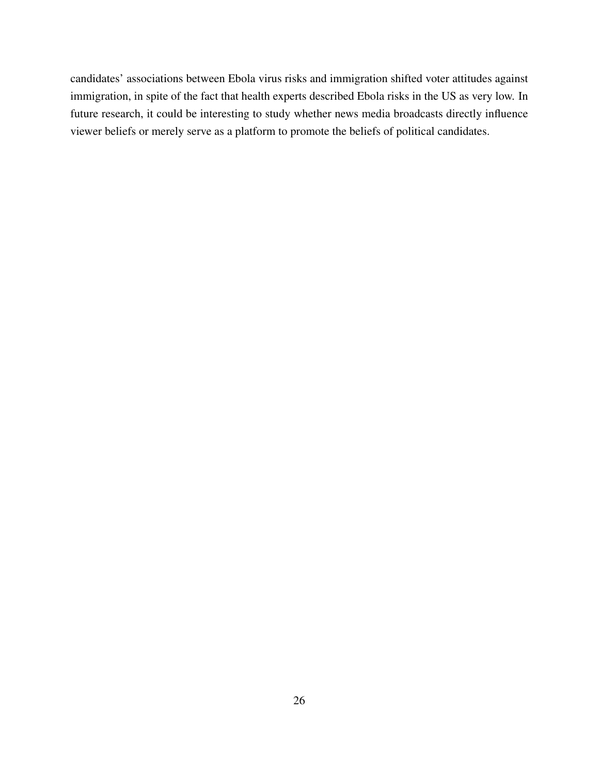candidates' associations between Ebola virus risks and immigration shifted voter attitudes against immigration, in spite of the fact that health experts described Ebola risks in the US as very low. In future research, it could be interesting to study whether news media broadcasts directly influence viewer beliefs or merely serve as a platform to promote the beliefs of political candidates.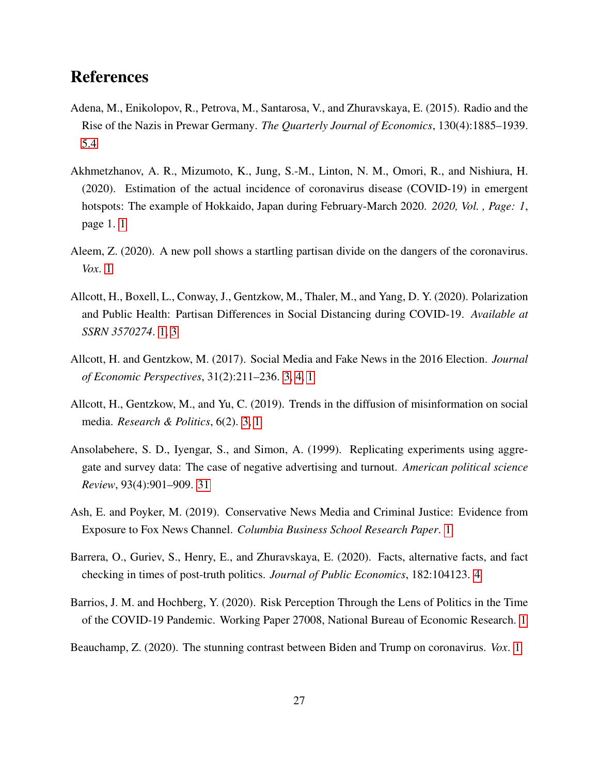# References

- <span id="page-27-9"></span>Adena, M., Enikolopov, R., Petrova, M., Santarosa, V., and Zhuravskaya, E. (2015). Radio and the Rise of the Nazis in Prewar Germany. *The Quarterly Journal of Economics*, 130(4):1885–1939. [5.4](#page-23-0)
- <span id="page-27-6"></span>Akhmetzhanov, A. R., Mizumoto, K., Jung, S.-M., Linton, N. M., Omori, R., and Nishiura, H. (2020). Estimation of the actual incidence of coronavirus disease (COVID-19) in emergent hotspots: The example of Hokkaido, Japan during February-March 2020. *2020, Vol. , Page: 1*, page 1. [1](#page-2-0)
- <span id="page-27-3"></span>Aleem, Z. (2020). A new poll shows a startling partisan divide on the dangers of the coronavirus. *Vox*. [1](#page-2-0)
- <span id="page-27-1"></span>Allcott, H., Boxell, L., Conway, J., Gentzkow, M., Thaler, M., and Yang, D. Y. (2020). Polarization and Public Health: Partisan Differences in Social Distancing during COVID-19. *Available at SSRN 3570274*. [1,](#page-2-0) [3](#page-8-1)
- <span id="page-27-5"></span>Allcott, H. and Gentzkow, M. (2017). Social Media and Fake News in the 2016 Election. *Journal of Economic Perspectives*, 31(2):211–236. [3, 4, 1](#page-2-0)
- <span id="page-27-4"></span>Allcott, H., Gentzkow, M., and Yu, C. (2019). Trends in the diffusion of misinformation on social media. *Research & Politics*, 6(2). [3, 1](#page-2-0)
- <span id="page-27-10"></span>Ansolabehere, S. D., Iyengar, S., and Simon, A. (1999). Replicating experiments using aggregate and survey data: The case of negative advertising and turnout. *American political science Review*, 93(4):901–909. [31](#page-23-0)
- <span id="page-27-8"></span>Ash, E. and Poyker, M. (2019). Conservative News Media and Criminal Justice: Evidence from Exposure to Fox News Channel. *Columbia Business School Research Paper*. [1](#page-2-0)
- <span id="page-27-7"></span>Barrera, O., Guriev, S., Henry, E., and Zhuravskaya, E. (2020). Facts, alternative facts, and fact checking in times of post-truth politics. *Journal of Public Economics*, 182:104123. [4](#page-2-0)
- <span id="page-27-0"></span>Barrios, J. M. and Hochberg, Y. (2020). Risk Perception Through the Lens of Politics in the Time of the COVID-19 Pandemic. Working Paper 27008, National Bureau of Economic Research. [1](#page-2-0)
- <span id="page-27-2"></span>Beauchamp, Z. (2020). The stunning contrast between Biden and Trump on coronavirus. *Vox*. [1](#page-2-0)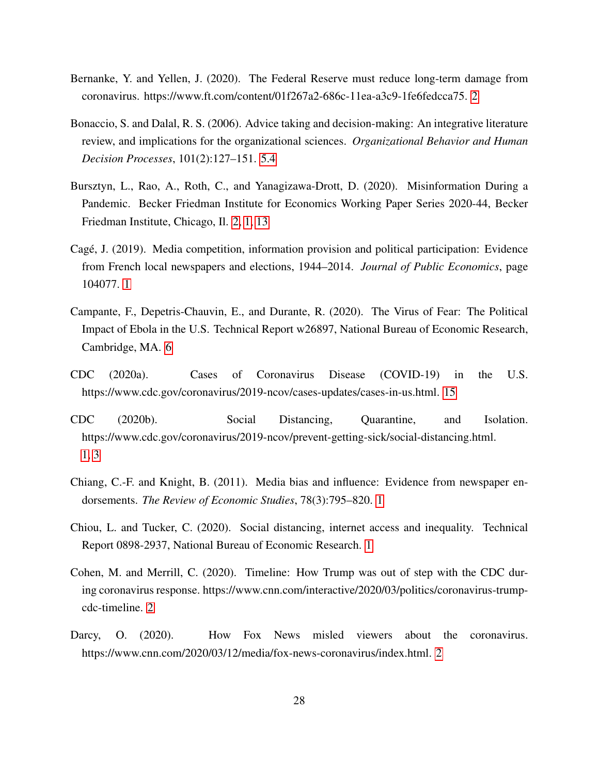- <span id="page-28-7"></span>Bernanke, Y. and Yellen, J. (2020). The Federal Reserve must reduce long-term damage from coronavirus. https://www.ft.com/content/01f267a2-686c-11ea-a3c9-1fe6fedcca75. [2](#page-6-0)
- <span id="page-28-9"></span>Bonaccio, S. and Dalal, R. S. (2006). Advice taking and decision-making: An integrative literature review, and implications for the organizational sciences. *Organizational Behavior and Human Decision Processes*, 101(2):127–151. [5.4](#page-23-0)
- <span id="page-28-1"></span>Bursztyn, L., Rao, A., Roth, C., and Yanagizawa-Drott, D. (2020). Misinformation During a Pandemic. Becker Friedman Institute for Economics Working Paper Series 2020-44, Becker Friedman Institute, Chicago, Il. [2, 1,](#page-2-0) [13](#page-12-0)
- <span id="page-28-3"></span>Cage, J. (2019). Media competition, information provision and political participation: Evidence ´ from French local newspapers and elections, 1944–2014. *Journal of Public Economics*, page 104077. [1](#page-2-0)
- <span id="page-28-10"></span>Campante, F., Depetris-Chauvin, E., and Durante, R. (2020). The Virus of Fear: The Political Impact of Ebola in the U.S. Technical Report w26897, National Bureau of Economic Research, Cambridge, MA. [6](#page-25-0)
- <span id="page-28-8"></span>CDC (2020a). Cases of Coronavirus Disease (COVID-19) in the U.S. https://www.cdc.gov/coronavirus/2019-ncov/cases-updates/cases-in-us.html. [15](#page-12-0)
- <span id="page-28-0"></span>CDC (2020b). Social Distancing, Quarantine, and Isolation. https://www.cdc.gov/coronavirus/2019-ncov/prevent-getting-sick/social-distancing.html. [1,](#page-2-0) [3](#page-8-0)
- <span id="page-28-4"></span>Chiang, C.-F. and Knight, B. (2011). Media bias and influence: Evidence from newspaper endorsements. *The Review of Economic Studies*, 78(3):795–820. [1](#page-2-0)
- <span id="page-28-2"></span>Chiou, L. and Tucker, C. (2020). Social distancing, internet access and inequality. Technical Report 0898-2937, National Bureau of Economic Research. [1](#page-2-0)
- <span id="page-28-6"></span>Cohen, M. and Merrill, C. (2020). Timeline: How Trump was out of step with the CDC during coronavirus response. https://www.cnn.com/interactive/2020/03/politics/coronavirus-trumpcdc-timeline. [2](#page-6-0)
- <span id="page-28-5"></span>Darcy, O. (2020). How Fox News misled viewers about the coronavirus. https://www.cnn.com/2020/03/12/media/fox-news-coronavirus/index.html. [2](#page-6-0)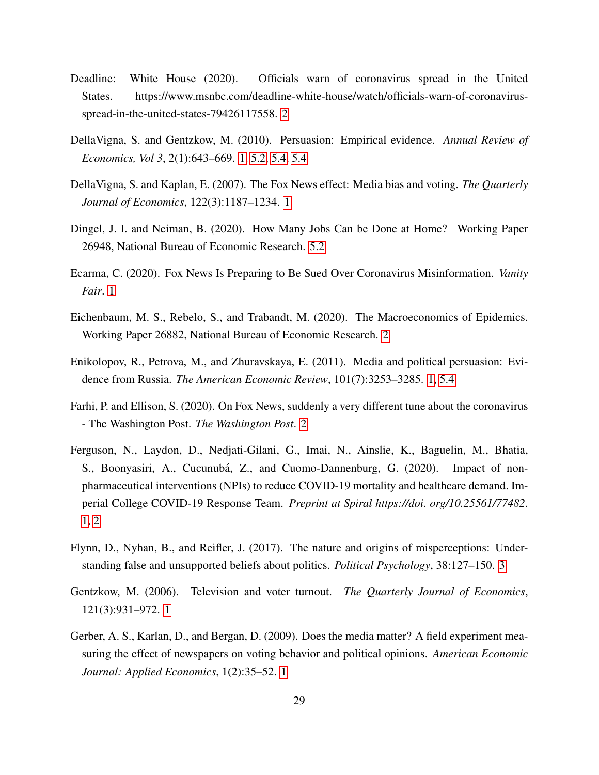- <span id="page-29-9"></span>Deadline: White House (2020). Officials warn of coronavirus spread in the United States. https://www.msnbc.com/deadline-white-house/watch/officials-warn-of-coronavirusspread-in-the-united-states-79426117558. [2](#page-6-0)
- <span id="page-29-3"></span>DellaVigna, S. and Gentzkow, M. (2010). Persuasion: Empirical evidence. *Annual Review of Economics, Vol 3*, 2(1):643–669. [1,](#page-2-0) [5.2,](#page-17-0) [5.4,](#page-22-0) [5.4](#page-23-0)
- <span id="page-29-7"></span>DellaVigna, S. and Kaplan, E. (2007). The Fox News effect: Media bias and voting. *The Quarterly Journal of Economics*, 122(3):1187–1234. [1](#page-2-0)
- <span id="page-29-11"></span>Dingel, J. I. and Neiman, B. (2020). How Many Jobs Can be Done at Home? Working Paper 26948, National Bureau of Economic Research. [5.2](#page-17-0)
- <span id="page-29-0"></span>Ecarma, C. (2020). Fox News Is Preparing to Be Sued Over Coronavirus Misinformation. *Vanity Fair*. [1](#page-2-0)
- <span id="page-29-10"></span>Eichenbaum, M. S., Rebelo, S., and Trabandt, M. (2020). The Macroeconomics of Epidemics. Working Paper 26882, National Bureau of Economic Research. [2](#page-6-0)
- <span id="page-29-6"></span>Enikolopov, R., Petrova, M., and Zhuravskaya, E. (2011). Media and political persuasion: Evidence from Russia. *The American Economic Review*, 101(7):3253–3285. [1,](#page-2-0) [5.4](#page-23-0)
- <span id="page-29-8"></span>Farhi, P. and Ellison, S. (2020). On Fox News, suddenly a very different tune about the coronavirus - The Washington Post. *The Washington Post*. [2](#page-6-0)
- <span id="page-29-1"></span>Ferguson, N., Laydon, D., Nedjati-Gilani, G., Imai, N., Ainslie, K., Baguelin, M., Bhatia, S., Boonyasiri, A., Cucunubá, Z., and Cuomo-Dannenburg, G. (2020). Impact of nonpharmaceutical interventions (NPIs) to reduce COVID-19 mortality and healthcare demand. Imperial College COVID-19 Response Team. *Preprint at Spiral https://doi. org/10.25561/77482*. [1,](#page-2-0) [2](#page-6-0)
- <span id="page-29-2"></span>Flynn, D., Nyhan, B., and Reifler, J. (2017). The nature and origins of misperceptions: Understanding false and unsupported beliefs about politics. *Political Psychology*, 38:127–150. [3](#page-2-0)
- <span id="page-29-5"></span>Gentzkow, M. (2006). Television and voter turnout. *The Quarterly Journal of Economics*, 121(3):931–972. [1](#page-2-0)
- <span id="page-29-4"></span>Gerber, A. S., Karlan, D., and Bergan, D. (2009). Does the media matter? A field experiment measuring the effect of newspapers on voting behavior and political opinions. *American Economic Journal: Applied Economics*, 1(2):35–52. [1](#page-2-0)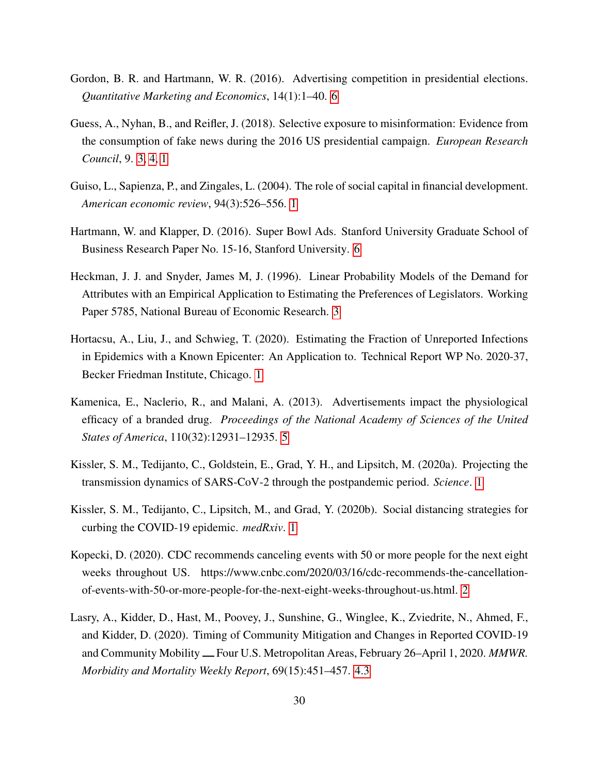- <span id="page-30-6"></span>Gordon, B. R. and Hartmann, W. R. (2016). Advertising competition in presidential elections. *Quantitative Marketing and Economics*, 14(1):1–40. [6](#page-2-0)
- <span id="page-30-1"></span>Guess, A., Nyhan, B., and Reifler, J. (2018). Selective exposure to misinformation: Evidence from the consumption of fake news during the 2016 US presidential campaign. *European Research Council*, 9. [3, 4, 1](#page-2-0)
- <span id="page-30-2"></span>Guiso, L., Sapienza, P., and Zingales, L. (2004). The role of social capital in financial development. *American economic review*, 94(3):526–556. [1](#page-2-0)
- <span id="page-30-7"></span>Hartmann, W. and Klapper, D. (2016). Super Bowl Ads. Stanford University Graduate School of Business Research Paper No. 15-16, Stanford University. [6](#page-2-0)
- <span id="page-30-9"></span>Heckman, J. J. and Snyder, James M, J. (1996). Linear Probability Models of the Demand for Attributes with an Empirical Application to Estimating the Preferences of Legislators. Working Paper 5785, National Bureau of Economic Research. [3](#page-9-0)
- <span id="page-30-3"></span>Hortacsu, A., Liu, J., and Schwieg, T. (2020). Estimating the Fraction of Unreported Infections in Epidemics with a Known Epicenter: An Application to. Technical Report WP No. 2020-37, Becker Friedman Institute, Chicago. [1](#page-2-0)
- <span id="page-30-5"></span>Kamenica, E., Naclerio, R., and Malani, A. (2013). Advertisements impact the physiological efficacy of a branded drug. *Proceedings of the National Academy of Sciences of the United States of America*, 110(32):12931–12935. [5](#page-2-0)
- <span id="page-30-0"></span>Kissler, S. M., Tedijanto, C., Goldstein, E., Grad, Y. H., and Lipsitch, M. (2020a). Projecting the transmission dynamics of SARS-CoV-2 through the postpandemic period. *Science*. [1](#page-2-0)
- <span id="page-30-4"></span>Kissler, S. M., Tedijanto, C., Lipsitch, M., and Grad, Y. (2020b). Social distancing strategies for curbing the COVID-19 epidemic. *medRxiv*. [1](#page-2-0)
- <span id="page-30-8"></span>Kopecki, D. (2020). CDC recommends canceling events with 50 or more people for the next eight weeks throughout US. https://www.cnbc.com/2020/03/16/cdc-recommends-the-cancellationof-events-with-50-or-more-people-for-the-next-eight-weeks-throughout-us.html. [2](#page-6-0)
- <span id="page-30-10"></span>Lasry, A., Kidder, D., Hast, M., Poovey, J., Sunshine, G., Winglee, K., Zviedrite, N., Ahmed, F., and Kidder, D. (2020). Timing of Community Mitigation and Changes in Reported COVID-19 and Community Mobility <u>—</u> Four U.S. Metropolitan Areas, February 26–April 1, 2020. *MMWR. Morbidity and Mortality Weekly Report*, 69(15):451–457. [4.3](#page-12-0)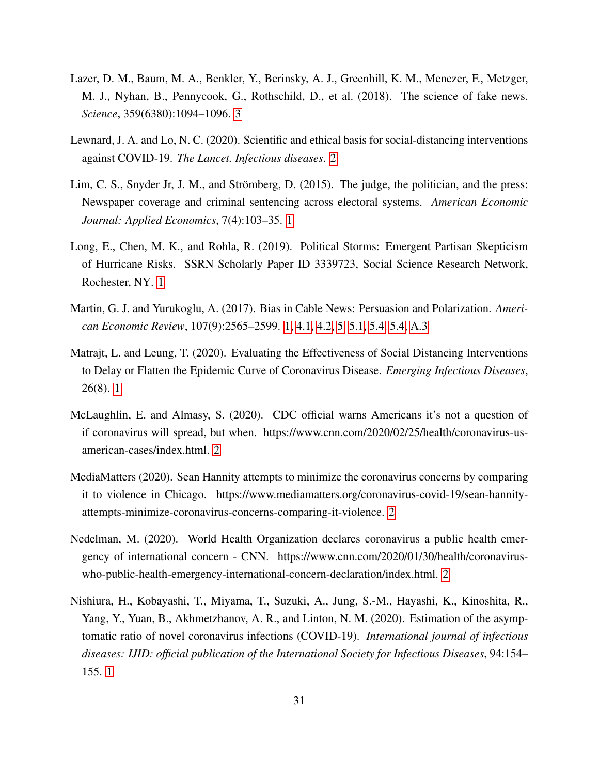- <span id="page-31-0"></span>Lazer, D. M., Baum, M. A., Benkler, Y., Berinsky, A. J., Greenhill, K. M., Menczer, F., Metzger, M. J., Nyhan, B., Pennycook, G., Rothschild, D., et al. (2018). The science of fake news. *Science*, 359(6380):1094–1096. [3](#page-2-0)
- <span id="page-31-9"></span>Lewnard, J. A. and Lo, N. C. (2020). Scientific and ethical basis for social-distancing interventions against COVID-19. *The Lancet. Infectious diseases*. [2](#page-6-0)
- <span id="page-31-4"></span>Lim, C. S., Snyder Jr, J. M., and Strömberg, D. (2015). The judge, the politician, and the press: Newspaper coverage and criminal sentencing across electoral systems. *American Economic Journal: Applied Economics*, 7(4):103–35. [1](#page-2-0)
- <span id="page-31-5"></span>Long, E., Chen, M. K., and Rohla, R. (2019). Political Storms: Emergent Partisan Skepticism of Hurricane Risks. SSRN Scholarly Paper ID 3339723, Social Science Research Network, Rochester, NY. [1](#page-2-0)
- <span id="page-31-1"></span>Martin, G. J. and Yurukoglu, A. (2017). Bias in Cable News: Persuasion and Polarization. *American Economic Review*, 107(9):2565–2599. [1,](#page-2-0) [4.1,](#page-10-1) [4.2,](#page-11-0) [5,](#page-15-0) [5.1,](#page-15-1) [5.4,](#page-22-1) [5.4,](#page-23-0) [A.3](#page-45-0)
- <span id="page-31-3"></span>Matrajt, L. and Leung, T. (2020). Evaluating the Effectiveness of Social Distancing Interventions to Delay or Flatten the Epidemic Curve of Coronavirus Disease. *Emerging Infectious Diseases*, 26(8). [1](#page-2-0)
- <span id="page-31-8"></span>McLaughlin, E. and Almasy, S. (2020). CDC official warns Americans it's not a question of if coronavirus will spread, but when. https://www.cnn.com/2020/02/25/health/coronavirus-usamerican-cases/index.html. [2](#page-6-0)
- <span id="page-31-7"></span>MediaMatters (2020). Sean Hannity attempts to minimize the coronavirus concerns by comparing it to violence in Chicago. https://www.mediamatters.org/coronavirus-covid-19/sean-hannityattempts-minimize-coronavirus-concerns-comparing-it-violence. [2](#page-6-0)
- <span id="page-31-6"></span>Nedelman, M. (2020). World Health Organization declares coronavirus a public health emergency of international concern - CNN. https://www.cnn.com/2020/01/30/health/coronaviruswho-public-health-emergency-international-concern-declaration/index.html. [2](#page-6-0)
- <span id="page-31-2"></span>Nishiura, H., Kobayashi, T., Miyama, T., Suzuki, A., Jung, S.-M., Hayashi, K., Kinoshita, R., Yang, Y., Yuan, B., Akhmetzhanov, A. R., and Linton, N. M. (2020). Estimation of the asymptomatic ratio of novel coronavirus infections (COVID-19). *International journal of infectious diseases: IJID: official publication of the International Society for Infectious Diseases*, 94:154– 155. [1](#page-2-0)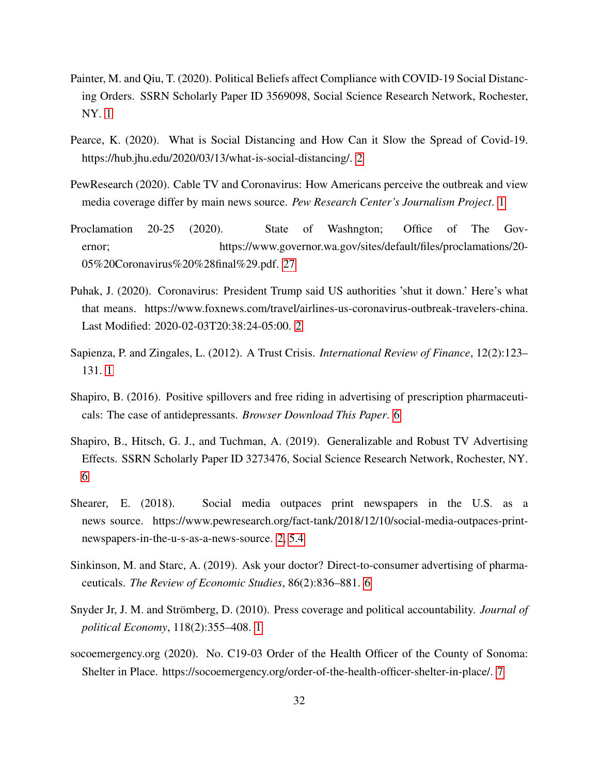- <span id="page-32-2"></span>Painter, M. and Qiu, T. (2020). Political Beliefs affect Compliance with COVID-19 Social Distancing Orders. SSRN Scholarly Paper ID 3569098, Social Science Research Network, Rochester, NY. [1](#page-2-0)
- <span id="page-32-9"></span>Pearce, K. (2020). What is Social Distancing and How Can it Slow the Spread of Covid-19. https://hub.jhu.edu/2020/03/13/what-is-social-distancing/. [2](#page-6-0)
- <span id="page-32-0"></span>PewResearch (2020). Cable TV and Coronavirus: How Americans perceive the outbreak and view media coverage differ by main news source. *Pew Research Center's Journalism Project*. [1](#page-2-0)
- <span id="page-32-11"></span>Proclamation 20-25 (2020). State of Washngton; Office of The Governor; https://www.governor.wa.gov/sites/default/files/proclamations/20- 05%20Coronavirus%20%28final%29.pdf. [27](#page-17-0)
- <span id="page-32-8"></span>Puhak, J. (2020). Coronavirus: President Trump said US authorities 'shut it down.' Here's what that means. https://www.foxnews.com/travel/airlines-us-coronavirus-outbreak-travelers-china. Last Modified: 2020-02-03T20:38:24-05:00. [2](#page-6-0)
- <span id="page-32-1"></span>Sapienza, P. and Zingales, L. (2012). A Trust Crisis. *International Review of Finance*, 12(2):123– 131. [1](#page-2-0)
- <span id="page-32-4"></span>Shapiro, B. (2016). Positive spillovers and free riding in advertising of prescription pharmaceuticals: The case of antidepressants. *Browser Download This Paper*. [6](#page-2-0)
- <span id="page-32-5"></span>Shapiro, B., Hitsch, G. J., and Tuchman, A. (2019). Generalizable and Robust TV Advertising Effects. SSRN Scholarly Paper ID 3273476, Social Science Research Network, Rochester, NY. [6](#page-2-0)
- <span id="page-32-7"></span>Shearer, E. (2018). Social media outpaces print newspapers in the U.S. as a news source. https://www.pewresearch.org/fact-tank/2018/12/10/social-media-outpaces-printnewspapers-in-the-u-s-as-a-news-source. [2,](#page-6-0) [5.4](#page-22-1)
- <span id="page-32-6"></span>Sinkinson, M. and Starc, A. (2019). Ask your doctor? Direct-to-consumer advertising of pharmaceuticals. *The Review of Economic Studies*, 86(2):836–881. [6](#page-2-0)
- <span id="page-32-3"></span>Snyder Jr, J. M. and Strömberg, D. (2010). Press coverage and political accountability. *Journal of political Economy*, 118(2):355–408. [1](#page-2-0)
- <span id="page-32-10"></span>socoemergency.org (2020). No. C19-03 Order of the Health Officer of the County of Sonoma: Shelter in Place. https://socoemergency.org/order-of-the-health-officer-shelter-in-place/. [7](#page-8-0)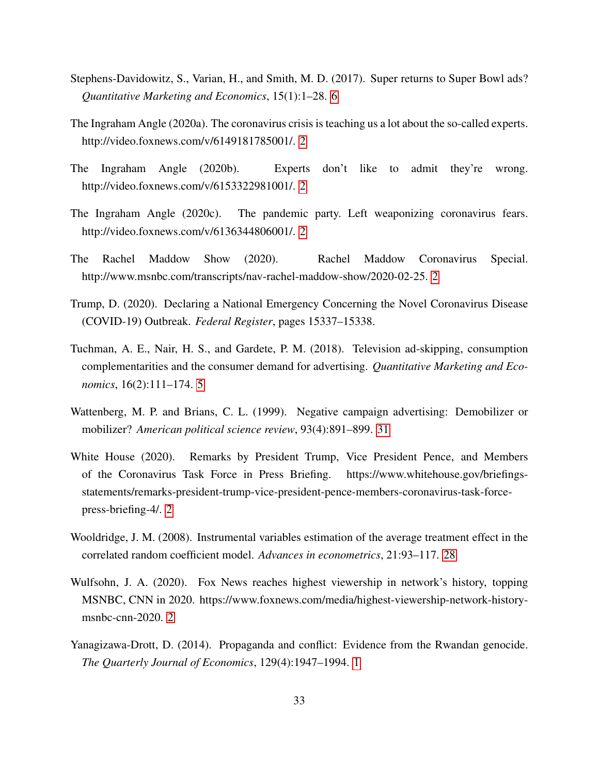- <span id="page-33-2"></span>Stephens-Davidowitz, S., Varian, H., and Smith, M. D. (2017). Super returns to Super Bowl ads? *Quantitative Marketing and Economics*, 15(1):1–28. [6](#page-2-0)
- <span id="page-33-6"></span>The Ingraham Angle (2020a). The coronavirus crisis is teaching us a lot about the so-called experts. http://video.foxnews.com/v/6149181785001/. [2](#page-6-0)
- <span id="page-33-7"></span>The Ingraham Angle (2020b). Experts don't like to admit they're wrong. http://video.foxnews.com/v/6153322981001/. [2](#page-6-0)
- <span id="page-33-4"></span>The Ingraham Angle (2020c). The pandemic party. Left weaponizing coronavirus fears. http://video.foxnews.com/v/6136344806001/. [2](#page-6-0)
- <span id="page-33-8"></span>The Rachel Maddow Show (2020). Rachel Maddow Coronavirus Special. http://www.msnbc.com/transcripts/nav-rachel-maddow-show/2020-02-25. [2](#page-6-0)
- Trump, D. (2020). Declaring a National Emergency Concerning the Novel Coronavirus Disease (COVID-19) Outbreak. *Federal Register*, pages 15337–15338.
- <span id="page-33-0"></span>Tuchman, A. E., Nair, H. S., and Gardete, P. M. (2018). Television ad-skipping, consumption complementarities and the consumer demand for advertising. *Quantitative Marketing and Economics*, 16(2):111–174. [5](#page-2-0)
- <span id="page-33-10"></span>Wattenberg, M. P. and Brians, C. L. (1999). Negative campaign advertising: Demobilizer or mobilizer? *American political science review*, 93(4):891–899. [31](#page-23-0)
- <span id="page-33-5"></span>White House (2020). Remarks by President Trump, Vice President Pence, and Members of the Coronavirus Task Force in Press Briefing. https://www.whitehouse.gov/briefingsstatements/remarks-president-trump-vice-president-pence-members-coronavirus-task-forcepress-briefing-4/. [2](#page-6-0)
- <span id="page-33-9"></span>Wooldridge, J. M. (2008). Instrumental variables estimation of the average treatment effect in the correlated random coefficient model. *Advances in econometrics*, 21:93–117. [28](#page-17-0)
- <span id="page-33-3"></span>Wulfsohn, J. A. (2020). Fox News reaches highest viewership in network's history, topping MSNBC, CNN in 2020. https://www.foxnews.com/media/highest-viewership-network-historymsnbc-cnn-2020. [2](#page-6-0)
- <span id="page-33-1"></span>Yanagizawa-Drott, D. (2014). Propaganda and conflict: Evidence from the Rwandan genocide. *The Quarterly Journal of Economics*, 129(4):1947–1994. [1](#page-2-0)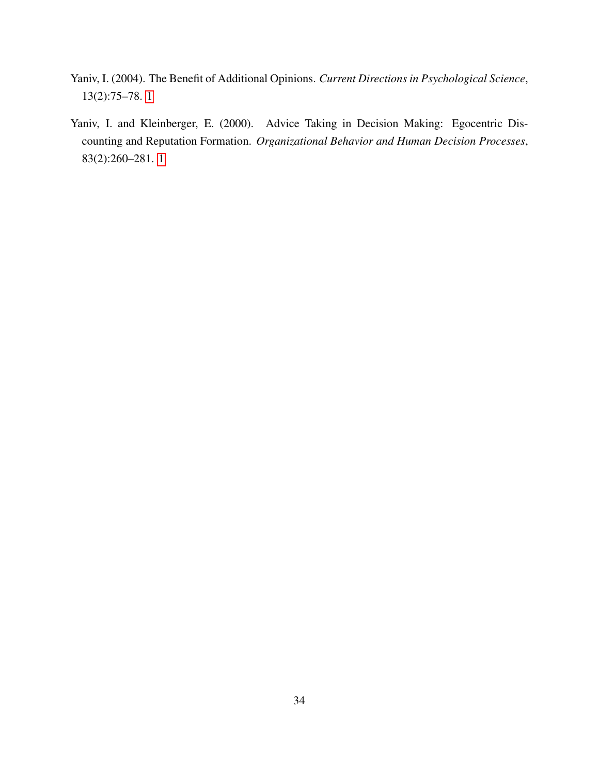- <span id="page-34-1"></span>Yaniv, I. (2004). The Benefit of Additional Opinions. *Current Directions in Psychological Science*, 13(2):75–78. [1](#page-2-0)
- <span id="page-34-0"></span>Yaniv, I. and Kleinberger, E. (2000). Advice Taking in Decision Making: Egocentric Discounting and Reputation Formation. *Organizational Behavior and Human Decision Processes*, 83(2):260–281. [1](#page-2-0)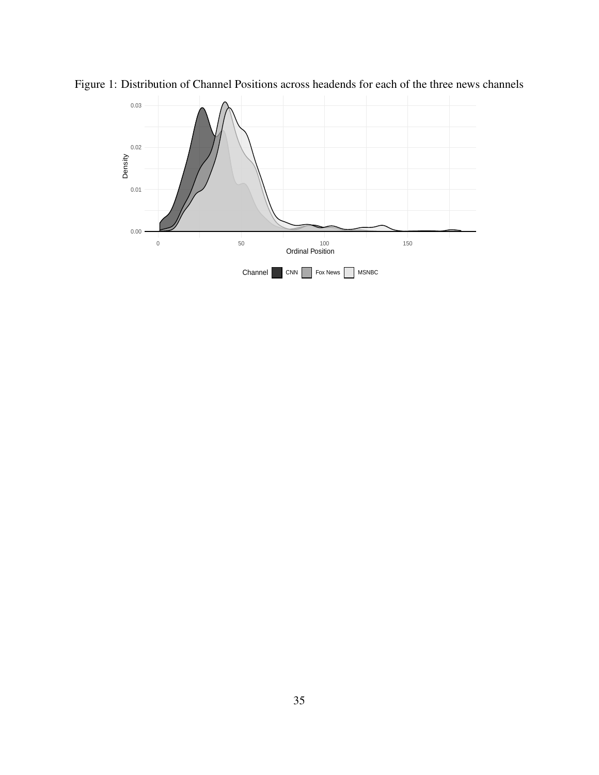<span id="page-35-0"></span>

Figure 1: Distribution of Channel Positions across headends for each of the three news channels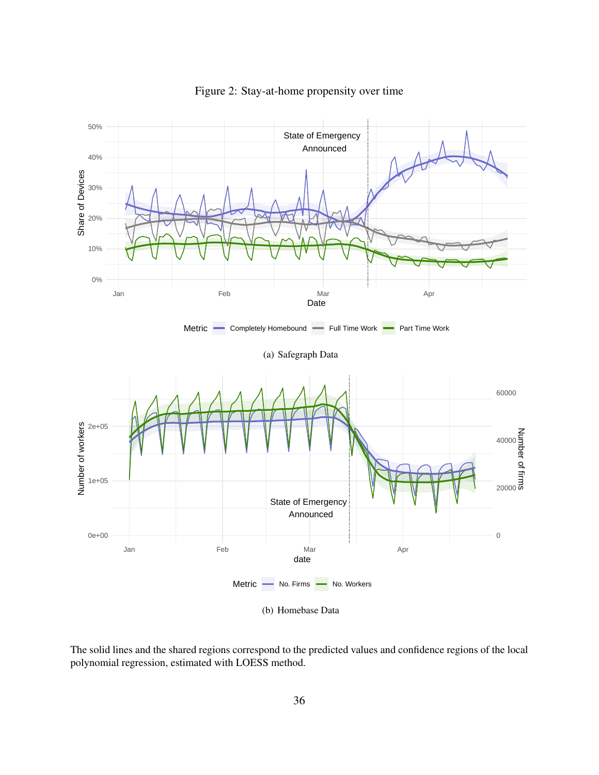

<span id="page-36-0"></span>Figure 2: Stay-at-home propensity over time

The solid lines and the shared regions correspond to the predicted values and confidence regions of the local polynomial regression, estimated with LOESS method.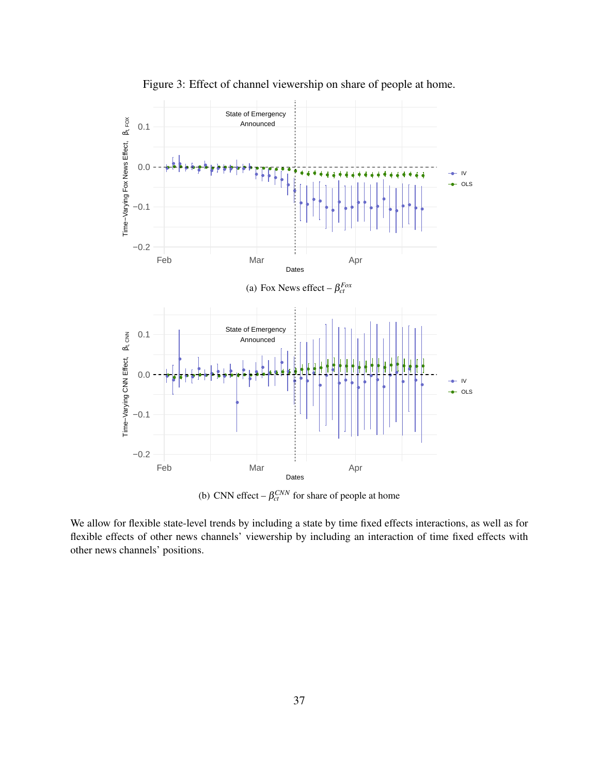

<span id="page-37-0"></span>Figure 3: Effect of channel viewership on share of people at home.

(b) CNN effect  $-\beta_{ct}^{CNN}$  for share of people at home

We allow for flexible state-level trends by including a state by time fixed effects interactions, as well as for flexible effects of other news channels' viewership by including an interaction of time fixed effects with other news channels' positions.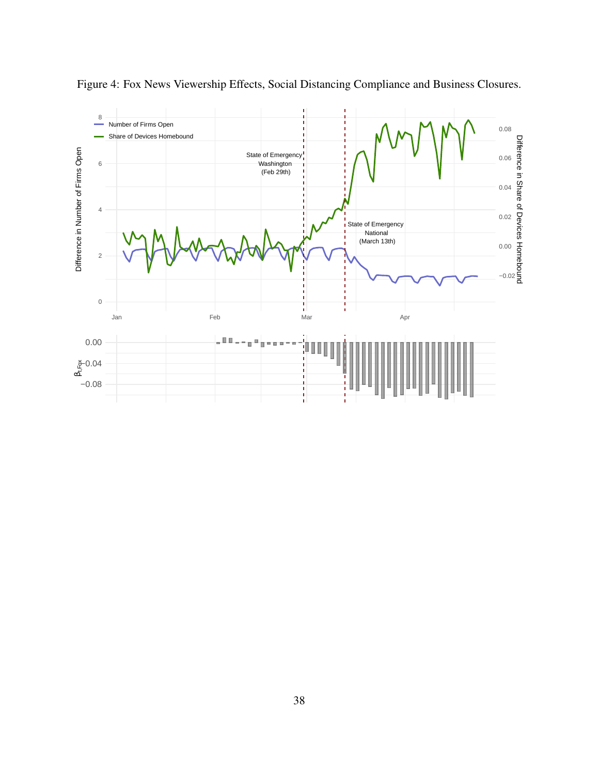

<span id="page-38-0"></span>Figure 4: Fox News Viewership Effects, Social Distancing Compliance and Business Closures.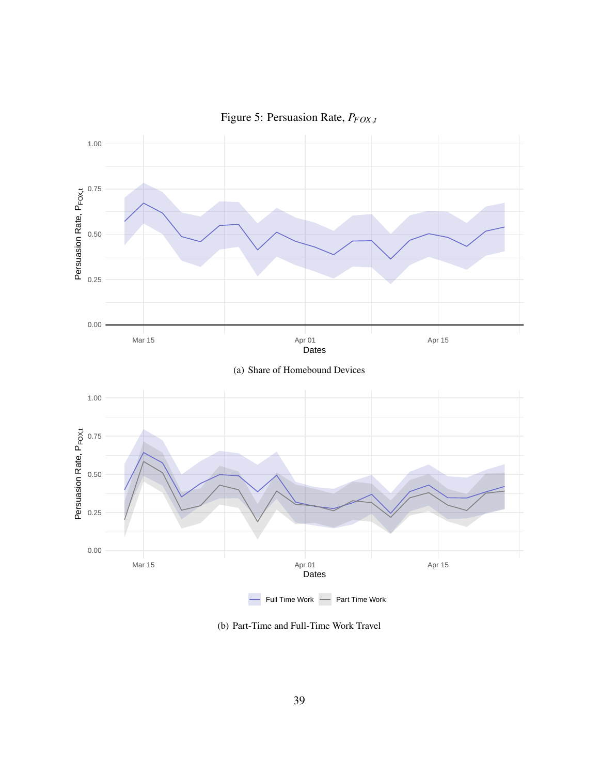

<span id="page-39-0"></span>Figure 5: Persuasion Rate, *PFOX*,*<sup>t</sup>*

(b) Part-Time and Full-Time Work Travel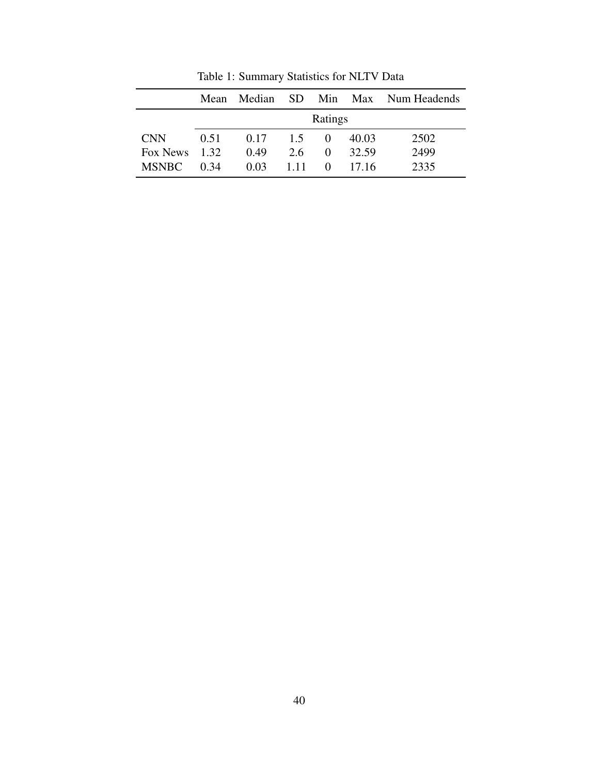|              | Mean    | Median SD |       |          |       | Min Max Num Headends |
|--------------|---------|-----------|-------|----------|-------|----------------------|
|              |         |           |       | Ratings  |       |                      |
| <b>CNN</b>   | 0.51    | 0.17      | 1.5   | $\Omega$ | 40.03 | 2502                 |
| Fox News     | $-1.32$ | 0.49      | 2.6   | 0        | 32.59 | 2499                 |
| <b>MSNBC</b> | 0.34    | $0.03 -$  | 1 1 1 | $\Omega$ | 17.16 | 2335                 |

<span id="page-40-0"></span>Table 1: Summary Statistics for NLTV Data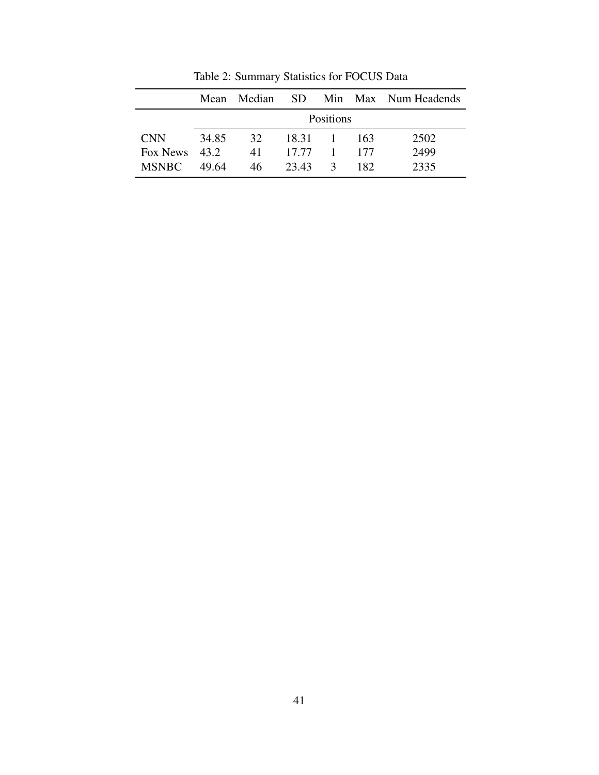|               | Mean  | Median           | - SD    |               |     | Min Max Num Headends |  |  |
|---------------|-------|------------------|---------|---------------|-----|----------------------|--|--|
|               |       | <b>Positions</b> |         |               |     |                      |  |  |
| <b>CNN</b>    | 34.85 | 32.              | 18.31 1 |               | 163 | 2502                 |  |  |
| Fox News 43.2 |       | 41               | 17.77   | $-1$          | 177 | 2499                 |  |  |
| <b>MSNBC</b>  | 49.64 | 46               | 23.43   | $\mathcal{R}$ | 182 | 2335                 |  |  |

<span id="page-41-0"></span>Table 2: Summary Statistics for FOCUS Data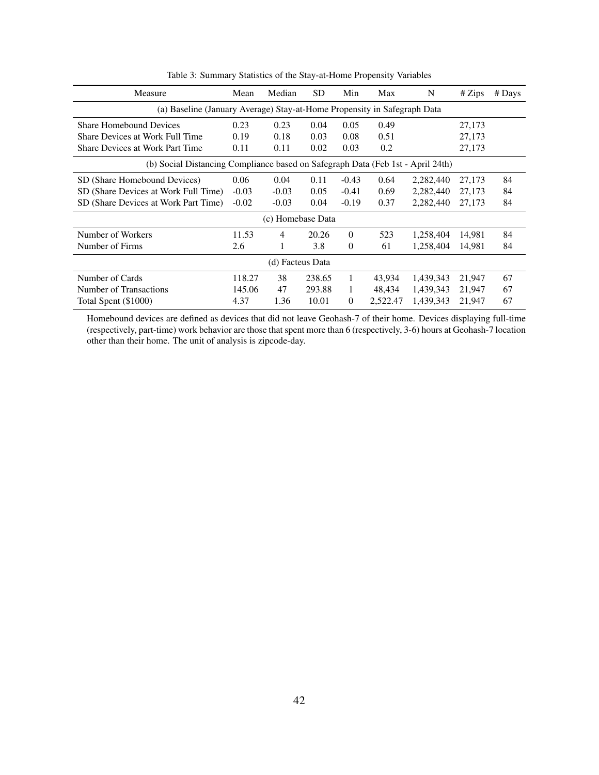| Measure                                                                                                                                                                                                                                                                                                                                                                                                                                                                                                                                                                                                                                                                                                                                                                                           | Mean   | Median           | <b>SD</b> | Min            | Max      | N         | # Zips | $#$ Days |
|---------------------------------------------------------------------------------------------------------------------------------------------------------------------------------------------------------------------------------------------------------------------------------------------------------------------------------------------------------------------------------------------------------------------------------------------------------------------------------------------------------------------------------------------------------------------------------------------------------------------------------------------------------------------------------------------------------------------------------------------------------------------------------------------------|--------|------------------|-----------|----------------|----------|-----------|--------|----------|
| (a) Baseline (January Average) Stay-at-Home Propensity in Safegraph Data<br>0.23<br>0.23<br>0.05<br>0.49<br><b>Share Homebound Devices</b><br>0.04<br>27,173<br>Share Devices at Work Full Time<br>0.18<br>0.08<br>0.19<br>0.03<br>0.51<br>27,173<br>Share Devices at Work Part Time<br>0.03<br>0.2<br>0.11<br>0.02<br>27,173<br>0.11<br>(b) Social Distancing Compliance based on Safegraph Data (Feb 1st - April 24th)<br>0.06<br>0.04<br>$-0.43$<br>2,282,440<br>27,173<br>84<br>SD (Share Homebound Devices)<br>0.11<br>0.64<br>84<br>SD (Share Devices at Work Full Time)<br>$-0.03$<br>0.05<br>$-0.41$<br>0.69<br>2,282,440<br>$-0.03$<br>27,173<br>SD (Share Devices at Work Part Time)<br>$-0.02$<br>$-0.19$<br>0.37<br>2,282,440<br>84<br>$-0.03$<br>0.04<br>27,173<br>(c) Homebase Data |        |                  |           |                |          |           |        |          |
|                                                                                                                                                                                                                                                                                                                                                                                                                                                                                                                                                                                                                                                                                                                                                                                                   |        |                  |           |                |          |           |        |          |
|                                                                                                                                                                                                                                                                                                                                                                                                                                                                                                                                                                                                                                                                                                                                                                                                   |        |                  |           |                |          |           |        |          |
|                                                                                                                                                                                                                                                                                                                                                                                                                                                                                                                                                                                                                                                                                                                                                                                                   |        |                  |           |                |          |           |        |          |
|                                                                                                                                                                                                                                                                                                                                                                                                                                                                                                                                                                                                                                                                                                                                                                                                   |        |                  |           |                |          |           |        |          |
|                                                                                                                                                                                                                                                                                                                                                                                                                                                                                                                                                                                                                                                                                                                                                                                                   |        |                  |           |                |          |           |        |          |
|                                                                                                                                                                                                                                                                                                                                                                                                                                                                                                                                                                                                                                                                                                                                                                                                   |        |                  |           |                |          |           |        |          |
|                                                                                                                                                                                                                                                                                                                                                                                                                                                                                                                                                                                                                                                                                                                                                                                                   |        |                  |           |                |          |           |        |          |
|                                                                                                                                                                                                                                                                                                                                                                                                                                                                                                                                                                                                                                                                                                                                                                                                   |        |                  |           |                |          |           |        |          |
| Number of Workers                                                                                                                                                                                                                                                                                                                                                                                                                                                                                                                                                                                                                                                                                                                                                                                 | 11.53  | $\overline{4}$   | 20.26     | $\theta$       | 523      | 1,258,404 | 14,981 | 84       |
| Number of Firms                                                                                                                                                                                                                                                                                                                                                                                                                                                                                                                                                                                                                                                                                                                                                                                   | 2.6    | 1                | 3.8       | $\theta$       | 61       | 1,258,404 | 14,981 | 84       |
|                                                                                                                                                                                                                                                                                                                                                                                                                                                                                                                                                                                                                                                                                                                                                                                                   |        | (d) Facteus Data |           |                |          |           |        |          |
| Number of Cards                                                                                                                                                                                                                                                                                                                                                                                                                                                                                                                                                                                                                                                                                                                                                                                   | 118.27 | 38               | 238.65    | 1              | 43,934   | 1,439,343 | 21,947 | 67       |
| Number of Transactions                                                                                                                                                                                                                                                                                                                                                                                                                                                                                                                                                                                                                                                                                                                                                                            | 145.06 | 47               | 293.88    | 1              | 48,434   | 1,439,343 | 21,947 | 67       |
| Total Spent (\$1000)                                                                                                                                                                                                                                                                                                                                                                                                                                                                                                                                                                                                                                                                                                                                                                              | 4.37   | 1.36             | 10.01     | $\overline{0}$ | 2,522.47 | 1,439,343 | 21,947 | 67       |

<span id="page-42-0"></span>Table 3: Summary Statistics of the Stay-at-Home Propensity Variables

Homebound devices are defined as devices that did not leave Geohash-7 of their home. Devices displaying full-time (respectively, part-time) work behavior are those that spent more than 6 (respectively, 3-6) hours at Geohash-7 location other than their home. The unit of analysis is zipcode-day.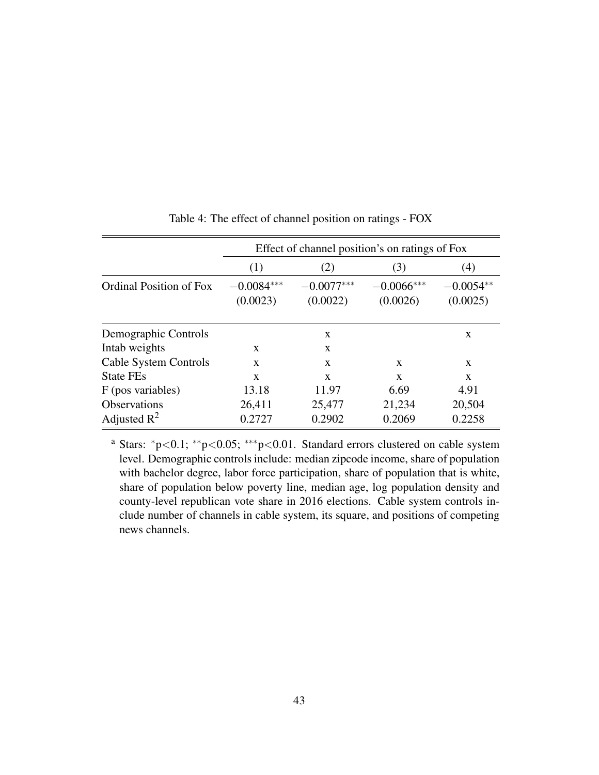|                                |                          | Effect of channel position's on ratings of Fox |                          |                         |  |  |  |  |
|--------------------------------|--------------------------|------------------------------------------------|--------------------------|-------------------------|--|--|--|--|
|                                | (1)                      | (2)                                            | (3)                      | (4)                     |  |  |  |  |
| <b>Ordinal Position of Fox</b> | $-0.0084***$<br>(0.0023) | $-0.0077***$<br>(0.0022)                       | $-0.0066***$<br>(0.0026) | $-0.0054**$<br>(0.0025) |  |  |  |  |
| Demographic Controls           |                          | X                                              |                          | X                       |  |  |  |  |
| Intab weights                  | X                        | $\mathbf{x}$                                   |                          |                         |  |  |  |  |
| Cable System Controls          | X                        | $\mathbf{x}$                                   | X                        | X                       |  |  |  |  |
| <b>State FEs</b>               | X                        | $\mathbf{x}$                                   | X                        | X                       |  |  |  |  |
| F (pos variables)              | 13.18                    | 11.97                                          | 6.69                     | 4.91                    |  |  |  |  |
| <b>Observations</b>            | 26,411                   | 25,477                                         | 21,234                   | 20,504                  |  |  |  |  |
| Adjusted $\mathbb{R}^2$        | 0.2727                   | 0.2902                                         | 0.2069                   | 0.2258                  |  |  |  |  |

<span id="page-43-0"></span>Table 4: The effect of channel position on ratings - FOX

<sup>a</sup> Stars: <sup>∗</sup>p<0.1; ∗∗p<0.05; ∗∗∗p<0.01. Standard errors clustered on cable system level. Demographic controls include: median zipcode income, share of population with bachelor degree, labor force participation, share of population that is white, share of population below poverty line, median age, log population density and county-level republican vote share in 2016 elections. Cable system controls include number of channels in cable system, its square, and positions of competing news channels.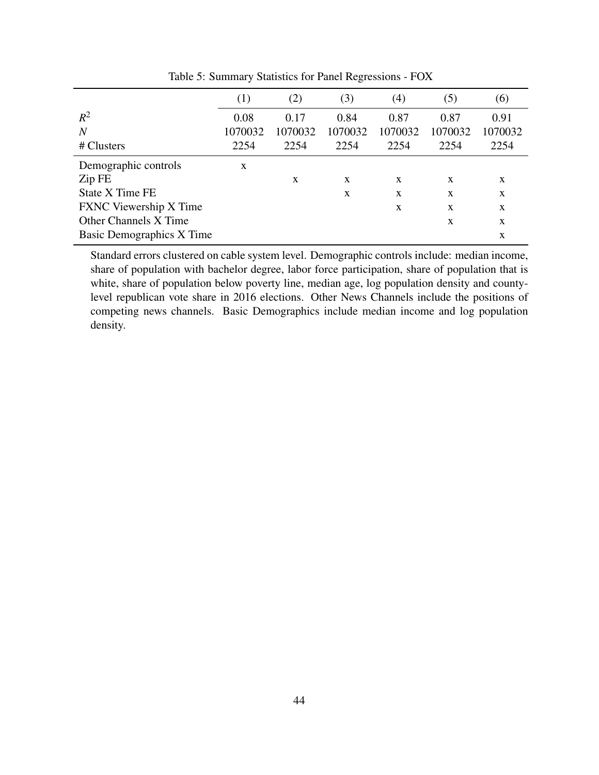|                                  | (1)     | (2)     | (3)     | (4)     | (5)     | (6)          |
|----------------------------------|---------|---------|---------|---------|---------|--------------|
| $R^2$                            | 0.08    | 0.17    | 0.84    | 0.87    | 0.87    | 0.91         |
| $\boldsymbol{N}$                 | 1070032 | 1070032 | 1070032 | 1070032 | 1070032 | 1070032      |
| # Clusters                       | 2254    | 2254    | 2254    | 2254    | 2254    | 2254         |
| Demographic controls             | X       |         |         |         |         |              |
| Zip FE                           |         | X       | X       | X       | X       | X            |
| <b>State X Time FE</b>           |         |         | X       | X       | X       | X            |
| <b>FXNC</b> Viewership X Time    |         |         |         | X       | X       | $\mathbf{x}$ |
| <b>Other Channels X Time</b>     |         |         |         |         | X       | X            |
| <b>Basic Demographics X Time</b> |         |         |         |         |         | X            |

<span id="page-44-0"></span>Table 5: Summary Statistics for Panel Regressions - FOX

Standard errors clustered on cable system level. Demographic controls include: median income, share of population with bachelor degree, labor force participation, share of population that is white, share of population below poverty line, median age, log population density and countylevel republican vote share in 2016 elections. Other News Channels include the positions of competing news channels. Basic Demographics include median income and log population density.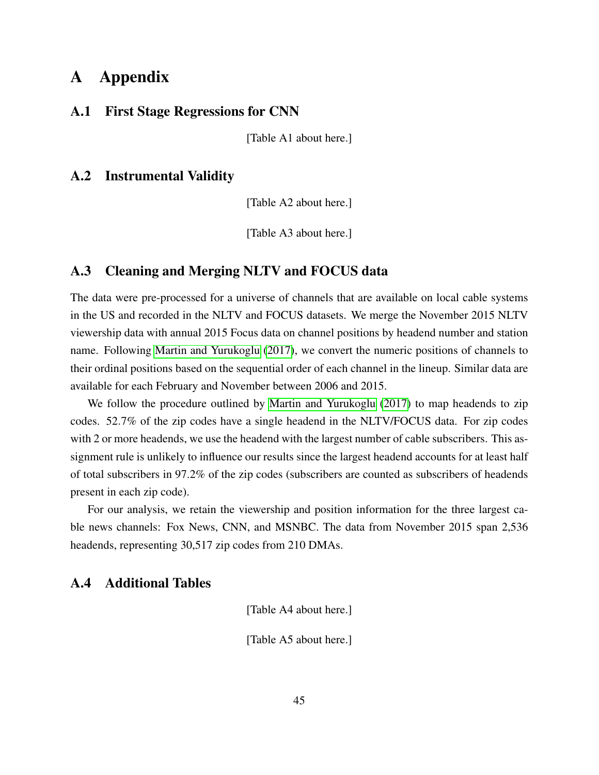# A Appendix

#### A.1 First Stage Regressions for CNN

[Table A1 about here.]

# A.2 Instrumental Validity

[Table A2 about here.]

[Table A3 about here.]

#### <span id="page-45-0"></span>A.3 Cleaning and Merging NLTV and FOCUS data

The data were pre-processed for a universe of channels that are available on local cable systems in the US and recorded in the NLTV and FOCUS datasets. We merge the November 2015 NLTV viewership data with annual 2015 Focus data on channel positions by headend number and station name. Following [Martin and Yurukoglu](#page-31-1) [\(2017\)](#page-31-1), we convert the numeric positions of channels to their ordinal positions based on the sequential order of each channel in the lineup. Similar data are available for each February and November between 2006 and 2015.

We follow the procedure outlined by [Martin and Yurukoglu](#page-31-1) [\(2017\)](#page-31-1) to map headends to zip codes. 52.7% of the zip codes have a single headend in the NLTV/FOCUS data. For zip codes with 2 or more headends, we use the headend with the largest number of cable subscribers. This assignment rule is unlikely to influence our results since the largest headend accounts for at least half of total subscribers in 97.2% of the zip codes (subscribers are counted as subscribers of headends present in each zip code).

For our analysis, we retain the viewership and position information for the three largest cable news channels: Fox News, CNN, and MSNBC. The data from November 2015 span 2,536 headends, representing 30,517 zip codes from 210 DMAs.

# <span id="page-45-1"></span>A.4 Additional Tables

[Table A4 about here.]

[Table A5 about here.]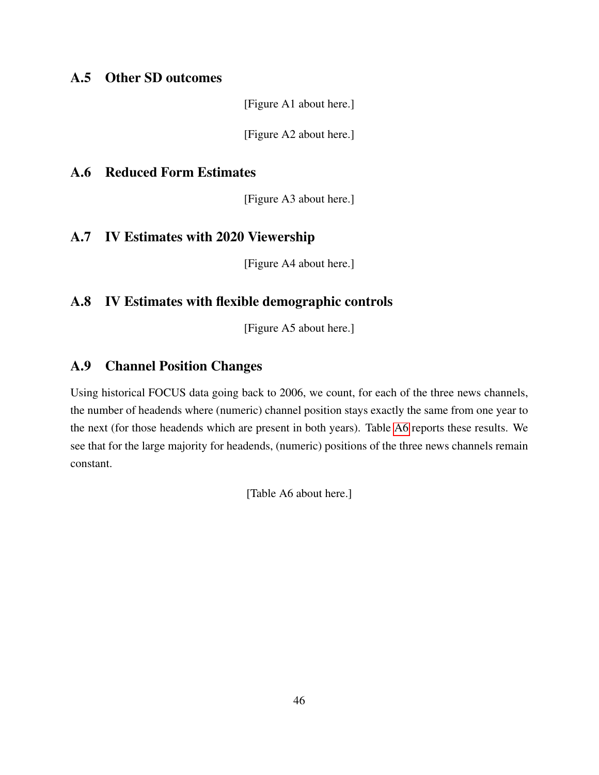# <span id="page-46-1"></span>A.5 Other SD outcomes

[Figure A1 about here.]

[Figure A2 about here.]

### <span id="page-46-2"></span>A.6 Reduced Form Estimates

[Figure A3 about here.]

# <span id="page-46-4"></span>A.7 IV Estimates with 2020 Viewership

[Figure A4 about here.]

# <span id="page-46-3"></span>A.8 IV Estimates with flexible demographic controls

[Figure A5 about here.]

# <span id="page-46-0"></span>A.9 Channel Position Changes

Using historical FOCUS data going back to 2006, we count, for each of the three news channels, the number of headends where (numeric) channel position stays exactly the same from one year to the next (for those headends which are present in both years). Table [A6](#page-57-0) reports these results. We see that for the large majority for headends, (numeric) positions of the three news channels remain constant.

[Table A6 about here.]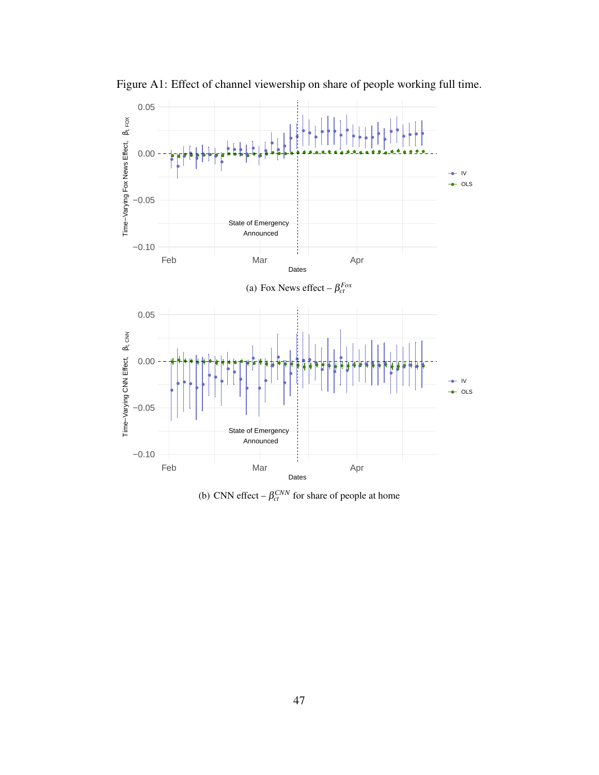

Figure A1: Effect of channel viewership on share of people working full time.

(b) CNN effect  $-\beta_{ct}^{CNN}$  for share of people at home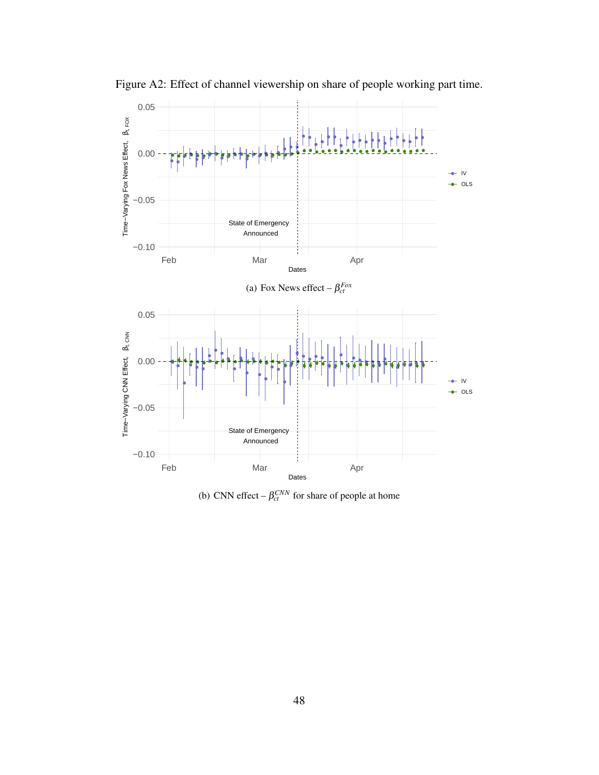

Figure A2: Effect of channel viewership on share of people working part time.

(b) CNN effect  $-\beta_{ct}^{CNN}$  for share of people at home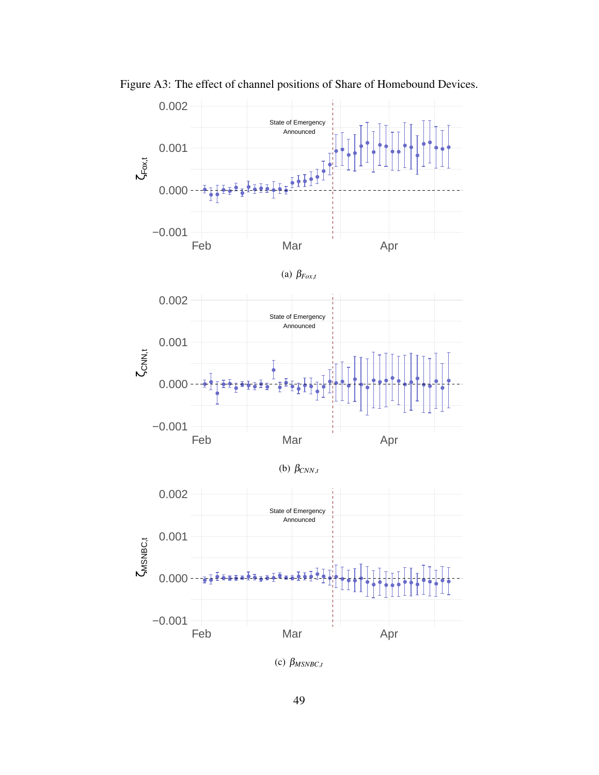

Figure A3: The effect of channel positions of Share of Homebound Devices.

(c)  $\beta_{MSNBC,t}$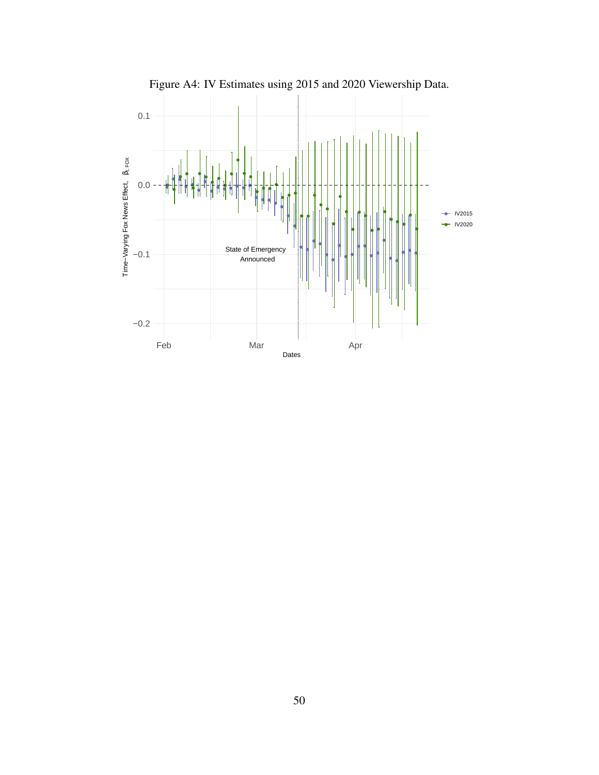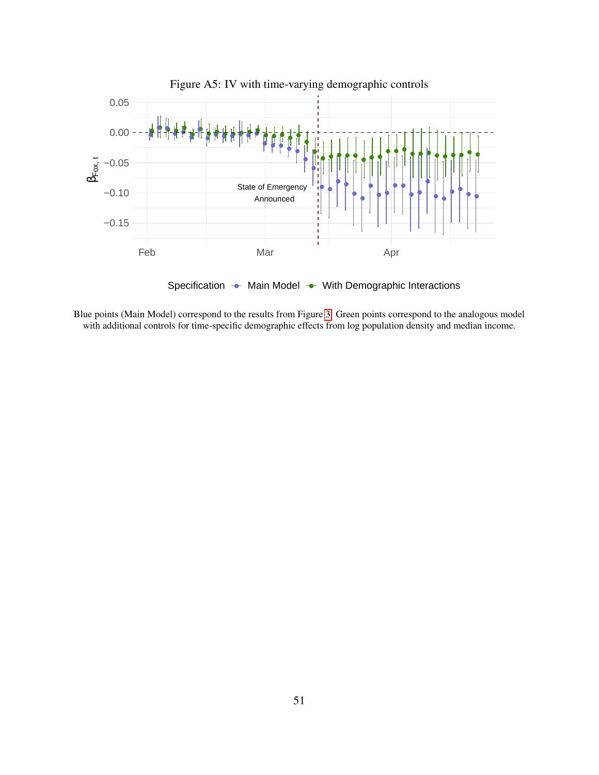

Blue points (Main Model) correspond to the results from Figure [3.](#page-37-0) Green points correspond to the analogous model with additional controls for time-specific demographic effects from log population density and median income.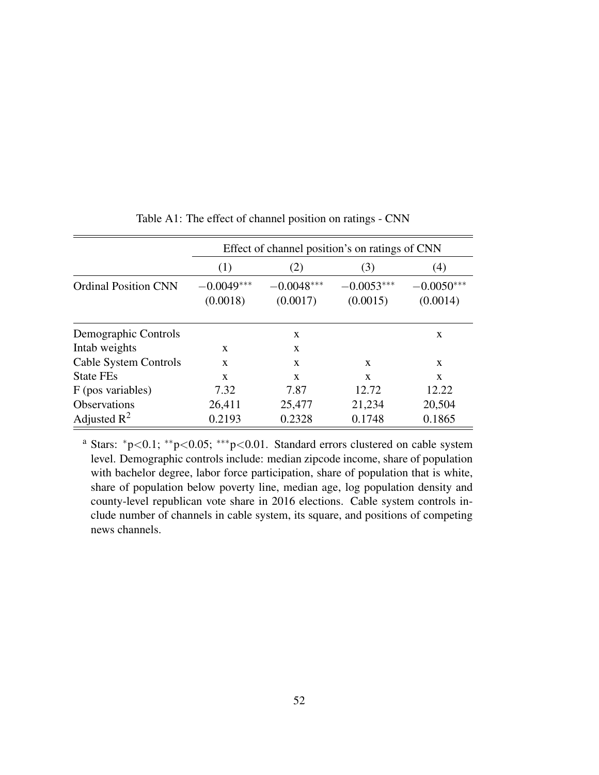|                             |                          | Effect of channel position's on ratings of CNN |                          |                          |  |  |  |  |
|-----------------------------|--------------------------|------------------------------------------------|--------------------------|--------------------------|--|--|--|--|
|                             | (1)                      | (2)                                            | (3)                      | (4)                      |  |  |  |  |
| <b>Ordinal Position CNN</b> | $-0.0049***$<br>(0.0018) | $-0.0048***$<br>(0.0017)                       | $-0.0053***$<br>(0.0015) | $-0.0050***$<br>(0.0014) |  |  |  |  |
| Demographic Controls        |                          | X                                              |                          | X                        |  |  |  |  |
| Intab weights               | X                        | X                                              |                          |                          |  |  |  |  |
| Cable System Controls       | X                        | X                                              | X                        | X                        |  |  |  |  |
| <b>State FEs</b>            | $\mathbf{x}$             | X                                              | $\mathbf{x}$             | $\mathbf{x}$             |  |  |  |  |
| F (pos variables)           | 7.32                     | 7.87                                           | 12.72                    | 12.22                    |  |  |  |  |
| Observations                | 26,411                   | 25,477                                         | 21,234                   | 20,504                   |  |  |  |  |
| Adjusted $\mathbb{R}^2$     | 0.2193                   | 0.2328                                         | 0.1748                   | 0.1865                   |  |  |  |  |

Table A1: The effect of channel position on ratings - CNN

<sup>a</sup> Stars: <sup>∗</sup>p<0.1; ∗∗p<0.05; ∗∗∗p<0.01. Standard errors clustered on cable system level. Demographic controls include: median zipcode income, share of population with bachelor degree, labor force participation, share of population that is white, share of population below poverty line, median age, log population density and county-level republican vote share in 2016 elections. Cable system controls include number of channels in cable system, its square, and positions of competing news channels.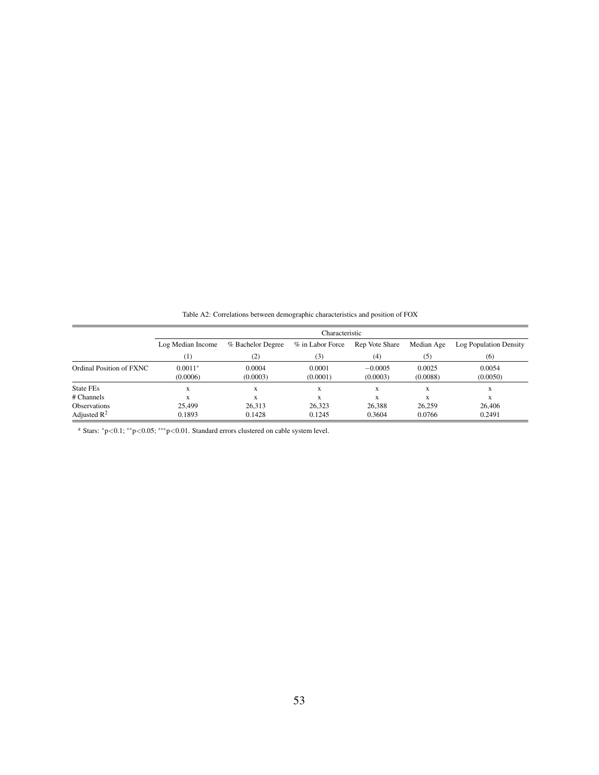|                          | Characteristic        |                    |                    |                       |                    |                        |  |  |
|--------------------------|-----------------------|--------------------|--------------------|-----------------------|--------------------|------------------------|--|--|
|                          | Log Median Income     | % Bachelor Degree  | % in Labor Force   | Rep Vote Share        | Median Age         | Log Population Density |  |  |
|                          | (1)                   | (2)                | (3)                | (4)                   | (5)                | (6)                    |  |  |
| Ordinal Position of FXNC | $0.0011*$<br>(0.0006) | 0.0004<br>(0.0003) | 0.0001<br>(0.0001) | $-0.0005$<br>(0.0003) | 0.0025<br>(0.0088) | 0.0054<br>(0.0050)     |  |  |
| State FEs                | X                     | X                  | X                  | X                     | X                  | X                      |  |  |
| # Channels               | x                     | X                  | X                  | X                     | X                  | X                      |  |  |
| <b>Observations</b>      | 25,499                | 26.313             | 26.323             | 26,388                | 26,259             | 26,406                 |  |  |
| Adjusted $\mathbb{R}^2$  | 0.1893                | 0.1428             | 0.1245             | 0.3604                | 0.0766             | 0.2491                 |  |  |

Table A2: Correlations between demographic characteristics and position of FOX

<sup>a</sup> Stars: <sup>∗</sup>p<0.1; ∗∗p<0.05; ∗∗∗p<0.01. Standard errors clustered on cable system level.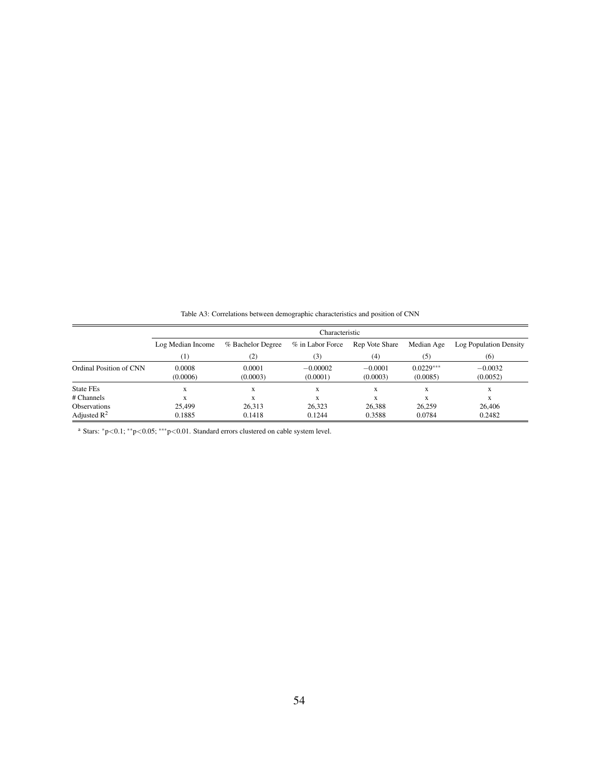|                         | Characteristic     |                    |                        |                       |                         |                        |  |  |  |
|-------------------------|--------------------|--------------------|------------------------|-----------------------|-------------------------|------------------------|--|--|--|
|                         | Log Median Income  | % Bachelor Degree  | % in Labor Force       | Rep Vote Share        | Median Age              | Log Population Density |  |  |  |
|                         | (1)                | (2)                | (3)                    | (4)                   | (5)                     | (6)                    |  |  |  |
| Ordinal Position of CNN | 0.0008<br>(0.0006) | 0.0001<br>(0.0003) | $-0.00002$<br>(0.0001) | $-0.0001$<br>(0.0003) | $0.0229***$<br>(0.0085) | $-0.0032$<br>(0.0052)  |  |  |  |
| State FEs               | X                  | X                  | X                      | X                     | X                       | X                      |  |  |  |
| # Channels              | X                  | X                  | X                      | X                     | X                       | X                      |  |  |  |
| <b>Observations</b>     | 25,499             | 26.313             | 26.323                 | 26.388                | 26.259                  | 26,406                 |  |  |  |
| Adjusted $\mathbb{R}^2$ | 0.1885             | 0.1418             | 0.1244                 | 0.3588                | 0.0784                  | 0.2482                 |  |  |  |

Table A3: Correlations between demographic characteristics and position of CNN

<sup>a</sup> Stars:  $*p<0.1; **p<0.05; **p<0.01$ . Standard errors clustered on cable system level.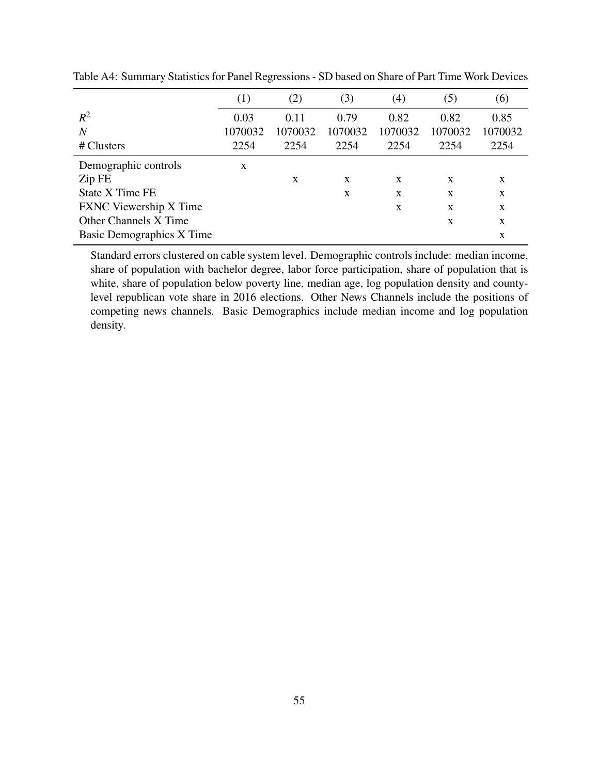|                                  | (1)     | (2)     | (3)     | $\left( 4\right)$ | (5)     | (6)     |
|----------------------------------|---------|---------|---------|-------------------|---------|---------|
| $R^2$                            | 0.03    | 0.11    | 0.79    | 0.82              | 0.82    | 0.85    |
| $\overline{N}$                   | 1070032 | 1070032 | 1070032 | 1070032           | 1070032 | 1070032 |
| # Clusters                       | 2254    | 2254    | 2254    | 2254              | 2254    | 2254    |
| Demographic controls             | X       |         |         |                   |         |         |
| Zip FE                           |         | X       | X       | X                 | X       | X       |
| State X Time FE                  |         |         | X       | X                 | X       | X       |
| <b>FXNC</b> Viewership X Time    |         |         |         | X                 | X       | X       |
| <b>Other Channels X Time</b>     |         |         |         |                   | X       | X       |
| <b>Basic Demographics X Time</b> |         |         |         |                   |         | X       |

Table A4: Summary Statistics for Panel Regressions - SD based on Share of Part Time Work Devices

Standard errors clustered on cable system level. Demographic controls include: median income, share of population with bachelor degree, labor force participation, share of population that is white, share of population below poverty line, median age, log population density and countylevel republican vote share in 2016 elections. Other News Channels include the positions of competing news channels. Basic Demographics include median income and log population density.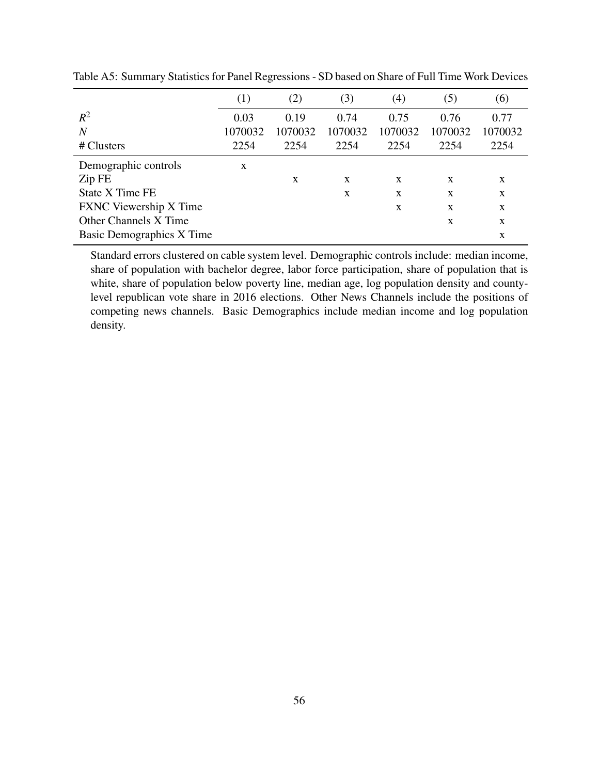|                                  | (1)     | (2)     | (3)     | $\left( 4\right)$ | (5)     | (6)     |
|----------------------------------|---------|---------|---------|-------------------|---------|---------|
| $R^2$                            | 0.03    | 0.19    | 0.74    | 0.75              | 0.76    | 0.77    |
| $\overline{N}$                   | 1070032 | 1070032 | 1070032 | 1070032           | 1070032 | 1070032 |
| # Clusters                       | 2254    | 2254    | 2254    | 2254              | 2254    | 2254    |
| Demographic controls             | X       |         |         |                   |         |         |
| Zip FE                           |         | X       | X       | X                 | X       | X       |
| State X Time FE                  |         |         | X       | X                 | X       | X       |
| <b>FXNC</b> Viewership X Time    |         |         |         | X                 | X       | X       |
| <b>Other Channels X Time</b>     |         |         |         |                   | X       | X       |
| <b>Basic Demographics X Time</b> |         |         |         |                   |         | X       |

Table A5: Summary Statistics for Panel Regressions - SD based on Share of Full Time Work Devices

Standard errors clustered on cable system level. Demographic controls include: median income, share of population with bachelor degree, labor force participation, share of population that is white, share of population below poverty line, median age, log population density and countylevel republican vote share in 2016 elections. Other News Channels include the positions of competing news channels. Basic Demographics include median income and log population density.